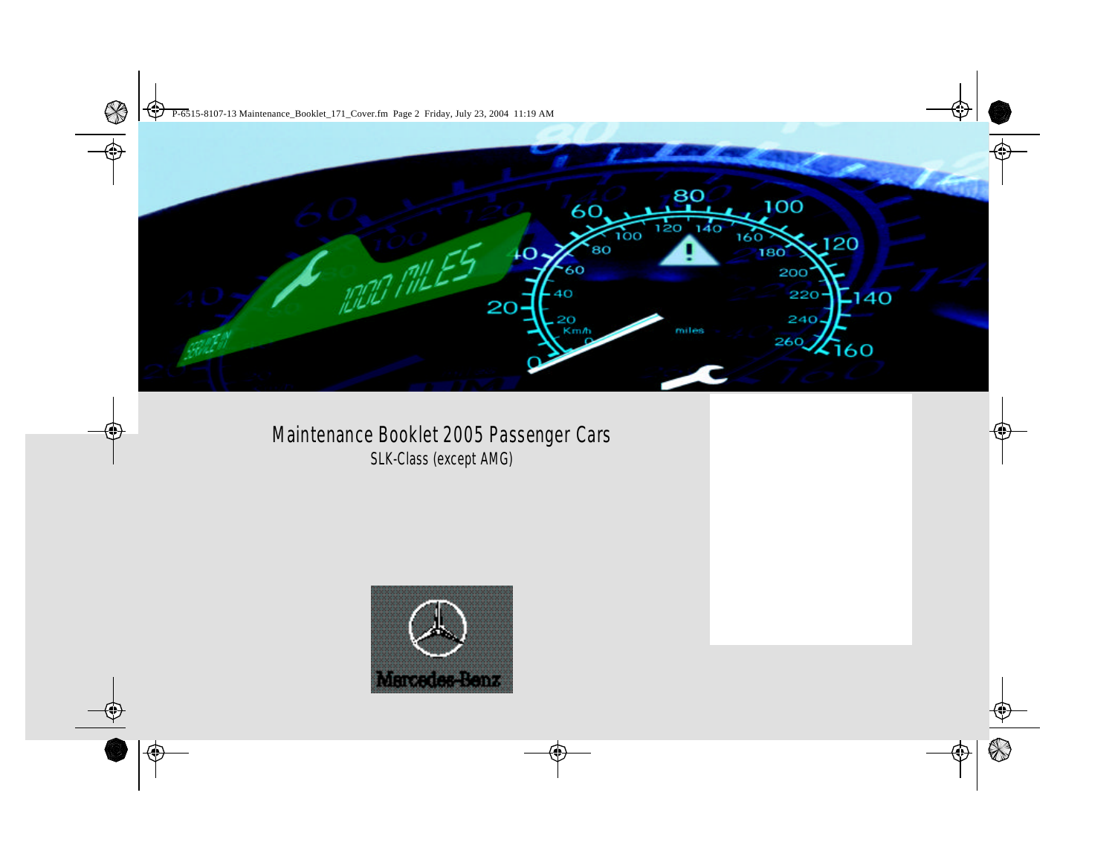

# Maintenance Booklet 2005 Passenger Cars SLK-Class (except AMG)

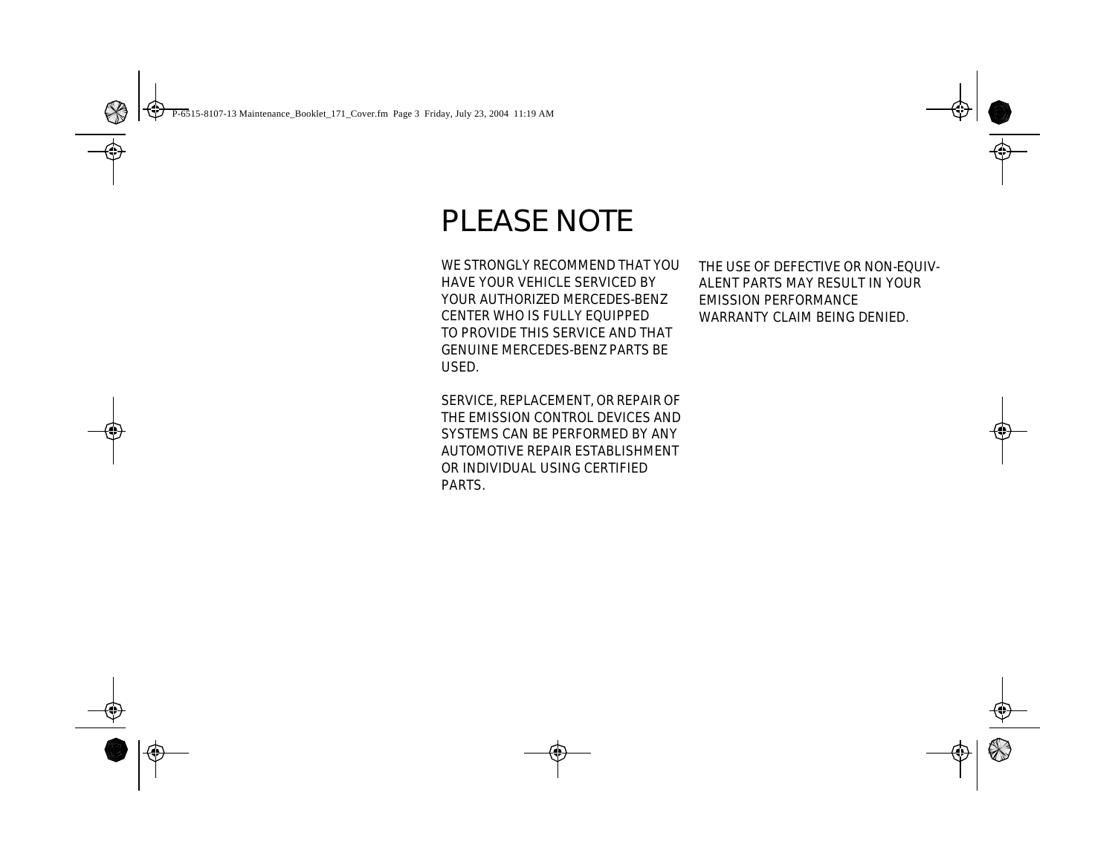# PLEASE NOTE

**WE STRONGLY RECOMMEND THAT YOU HAVE YOUR VEHICLE SERVICED BY YOUR AUTHORIZED MERCEDES-BENZ CENTER WHO IS FULLY EQUIPPED TO PROVIDE THIS SERVICE AND THAT GENUINE MERCEDES-BENZ PARTS BE USED.** 

**SERVICE, REPLACEMENT, OR REPAIR OF THE EMISSION CONTROL DEVICES AND SYSTEMS CAN BE PERFORMED BY ANY AUTOMOTIVE REPAIR ESTABLISHMENT OR INDIVIDUAL USING CERTIFIED PARTS.**

**THE USE OF DEFECTIVE OR NON-EQUIV-ALENT PARTS MAY RESULT IN YOUR EMISSION PERFORMANCE WARRANTY CLAIM BEING DENIED.**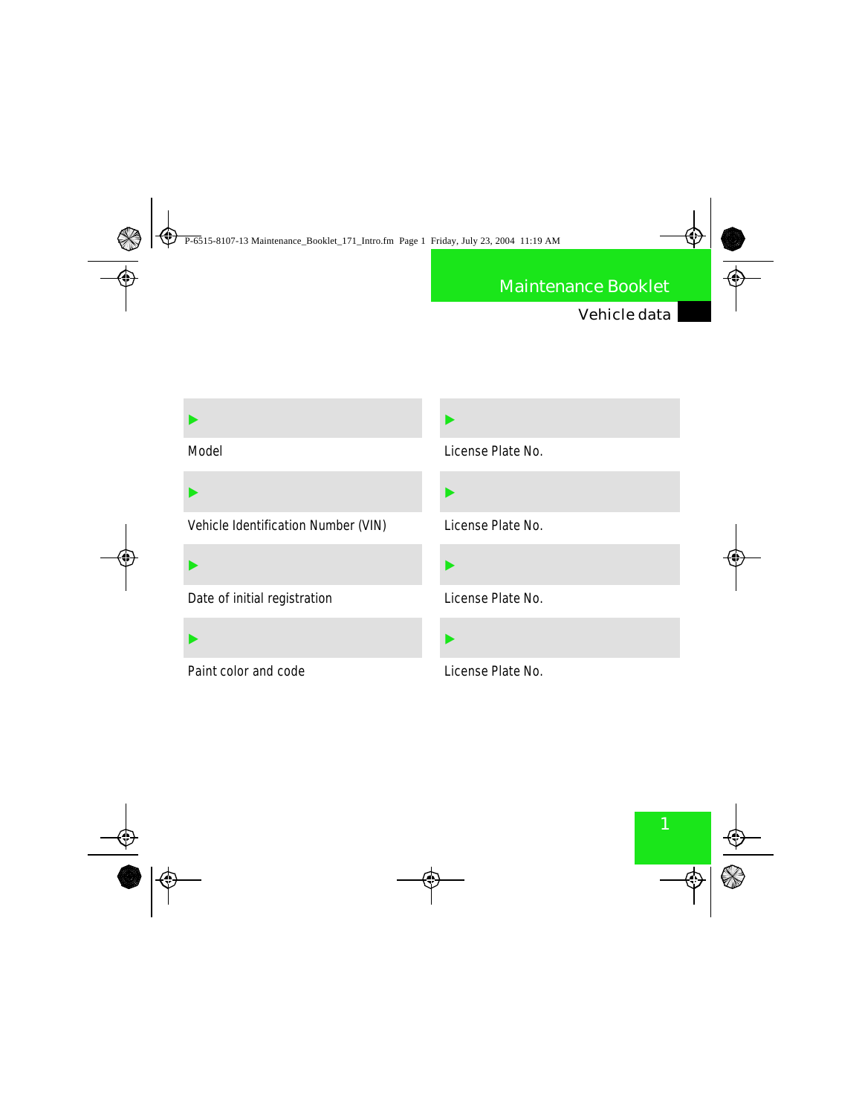### Vehicle data

| <b>Model</b>                               |  |
|--------------------------------------------|--|
|                                            |  |
| <b>Vehicle Identification Number (VIN)</b> |  |
|                                            |  |
| Date of initial registration               |  |
|                                            |  |
| <b>Paint color and code</b>                |  |

E License Plate No. E License Plate No. E License Plate No. E

### License Plate No.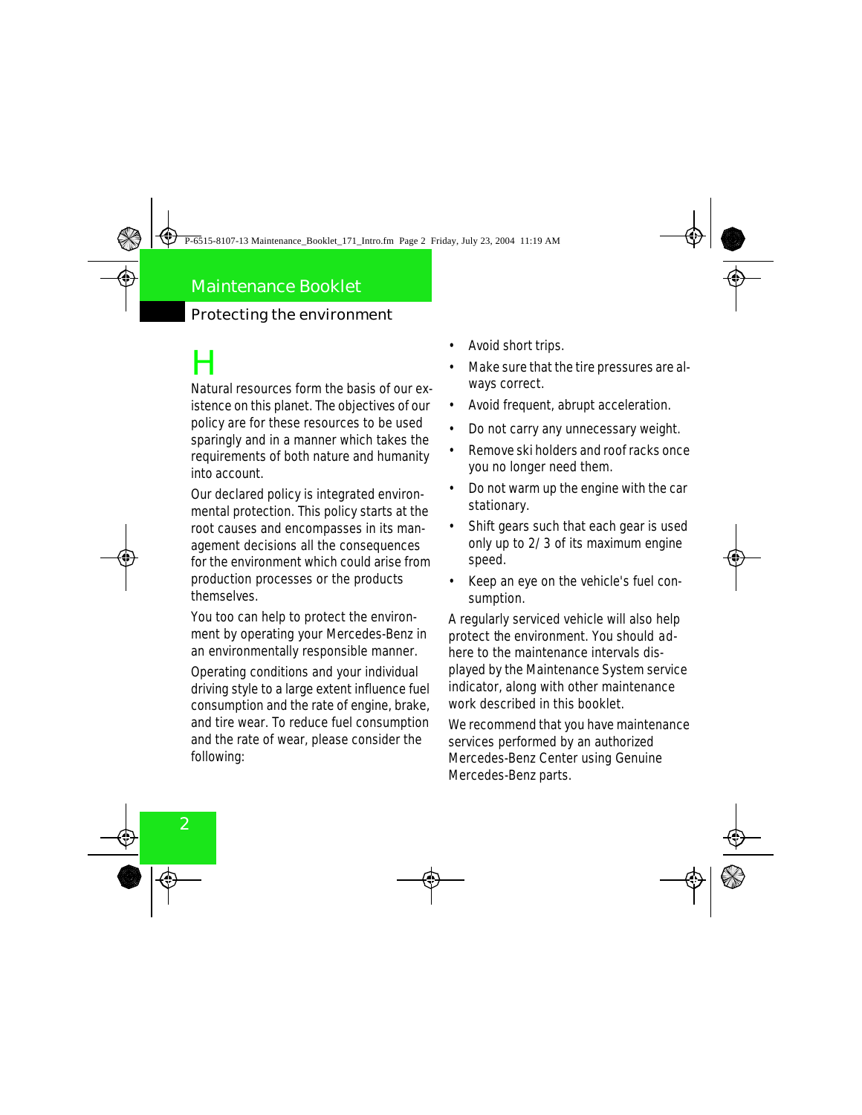### Protecting the environment

# H

Natural resources form the basis of our existence on this planet. The objectives of our policy are for these resources to be used sparingly and in a manner which takes the requirements of both nature and humanity into account.

Our declared policy is integrated environmental protection. This policy starts at the root causes and encompasses in its management decisions all the consequences for the environment which could arise from production processes or the products themselves.

You too can help to protect the environment by operating your Mercedes-Benz in an environmentally responsible manner.

Operating conditions and your individual driving style to a large extent influence fuel consumption and the rate of engine, brake, and tire wear. To reduce fuel consumption and the rate of wear, please consider the following:

- Avoid short trips.
- Make sure that the tire pressures are always correct.
- Avoid frequent, abrupt acceleration.
- Do not carry any unnecessary weight.
- Remove ski holders and roof racks once you no longer need them.
- Do not warm up the engine with the car stationary.
- Shift gears such that each gear is used only up to 2/3 of its maximum engine speed.
- Keep an eye on the vehicle's fuel consumption.

A regularly serviced vehicle will also help protect the environment. You should adhere to the maintenance intervals displayed by the Maintenance System service indicator, along with other maintenance work described in this booklet.

We recommend that you have maintenance services performed by an authorized Mercedes-Benz Center using Genuine Mercedes-Benz parts.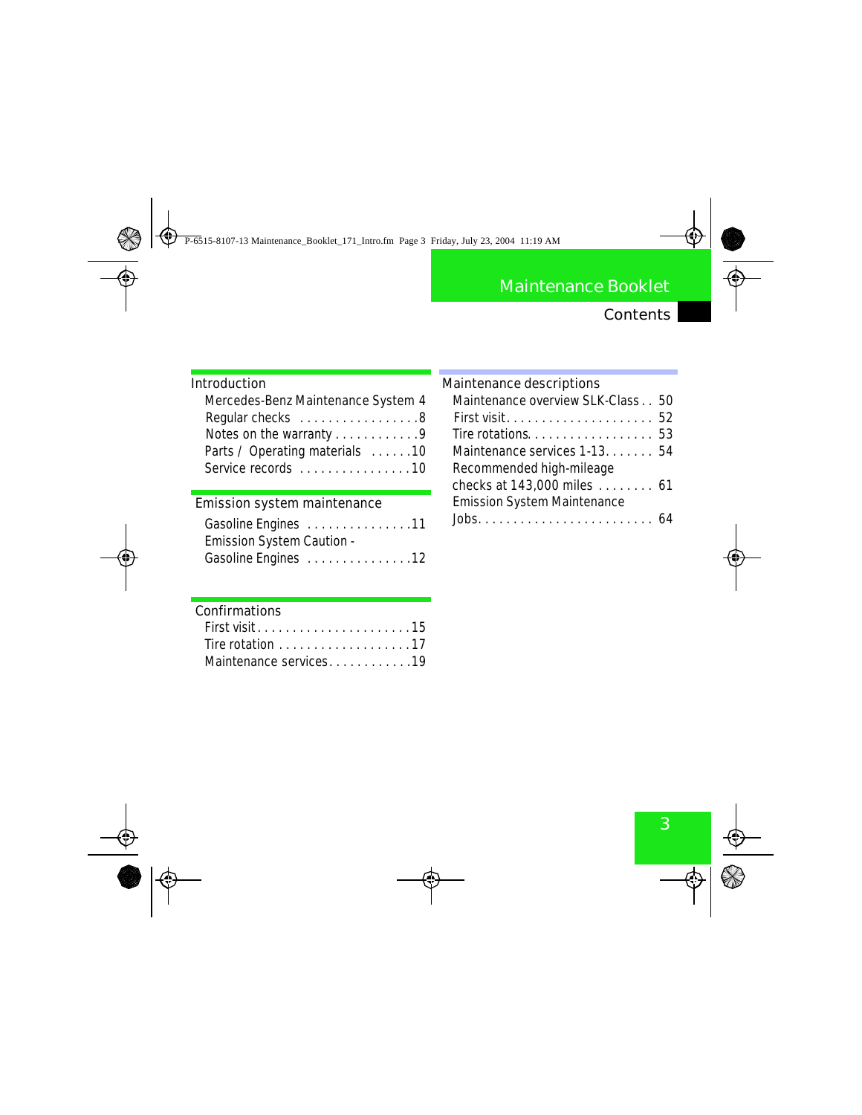### Contents

### **Introduction**

| Mercedes-Benz Maintenance System 4 |  |
|------------------------------------|--|
| Regular checks 8                   |  |
| Notes on the warranty 9            |  |
| Parts / Operating materials 10     |  |
| Service records 10                 |  |

### **Emission system maintenance**

| Gasoline Engines  11             |  |  |  |  |  |  |  |
|----------------------------------|--|--|--|--|--|--|--|
| <b>Emission System Caution -</b> |  |  |  |  |  |  |  |
| Gasoline Engines  12             |  |  |  |  |  |  |  |

| <b>Maintenance descriptions</b>                           |  |
|-----------------------------------------------------------|--|
| <b>Maintenance overview SLK Class 50</b>                  |  |
|                                                           |  |
| <b>The rotations.</b> $\dots\dots\dots\dots\dots\dots$ 53 |  |
| Maintenance services 1-13. 54                             |  |
| <b>Recommended high-mileage</b>                           |  |
| checks at 143,000 miles  61                               |  |
| <b>Emission System Maintenance</b>                        |  |
|                                                           |  |

**The State** 

### **Confirmations**

| <b>First visit15</b>                                        |  |  |  |  |  |  |  |  |  |  |
|-------------------------------------------------------------|--|--|--|--|--|--|--|--|--|--|
| The rotation $\ldots \ldots \ldots \ldots \ldots \ldots 17$ |  |  |  |  |  |  |  |  |  |  |
| Maintenance services19                                      |  |  |  |  |  |  |  |  |  |  |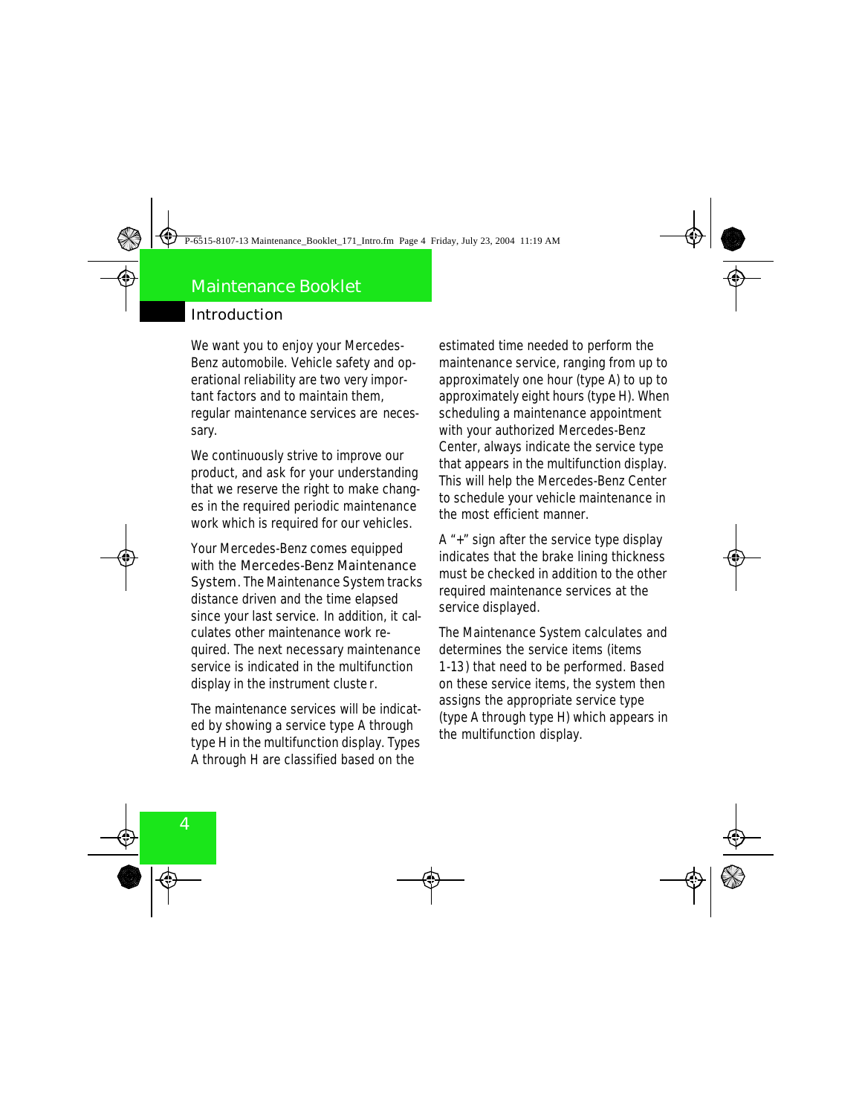We want you to enjoy your Mercedes-Benz automobile. Vehicle safety and operational reliability are two very important factors and to maintain them, regular maintenance services are necessary.

We continuously strive to improve our product, and ask for your understanding that we reserve the right to make changes in the required periodic maintenance work which is required for our vehicles.

Your Mercedes-Benz comes equipped with the **Mercedes-Benz Maintenance System**. The Maintenance System tracks distance driven and the time elapsed since your last service. In addition, it calculates other maintenance work required. The next necessary maintenance service is indicated in the multifunction display in the instrument cluste r.

The maintenance services will be indicated by showing a service type A through type H in the multifunction display. Types A through H are classified based on the

estimated time needed to perform the maintenance service, ranging from up to approximately one hour (type A) to up to approximately eight hours (type H). When scheduling a maintenance appointment with your authorized Mercedes-Benz Center, always indicate the service type that appears in the multifunction display. This will help the Mercedes-Benz Center to schedule your vehicle maintenance in the most efficient manner.

A "+" sign after the service type display indicates that the brake lining thickness must be checked in addition to the other required maintenance services at the service displayed.

The Maintenance System calculates and determines the service items (items 1-13) that need to be performed. Based on these service items, the system then assigns the appropriate service type (type A through type H) which appears in the multifunction display.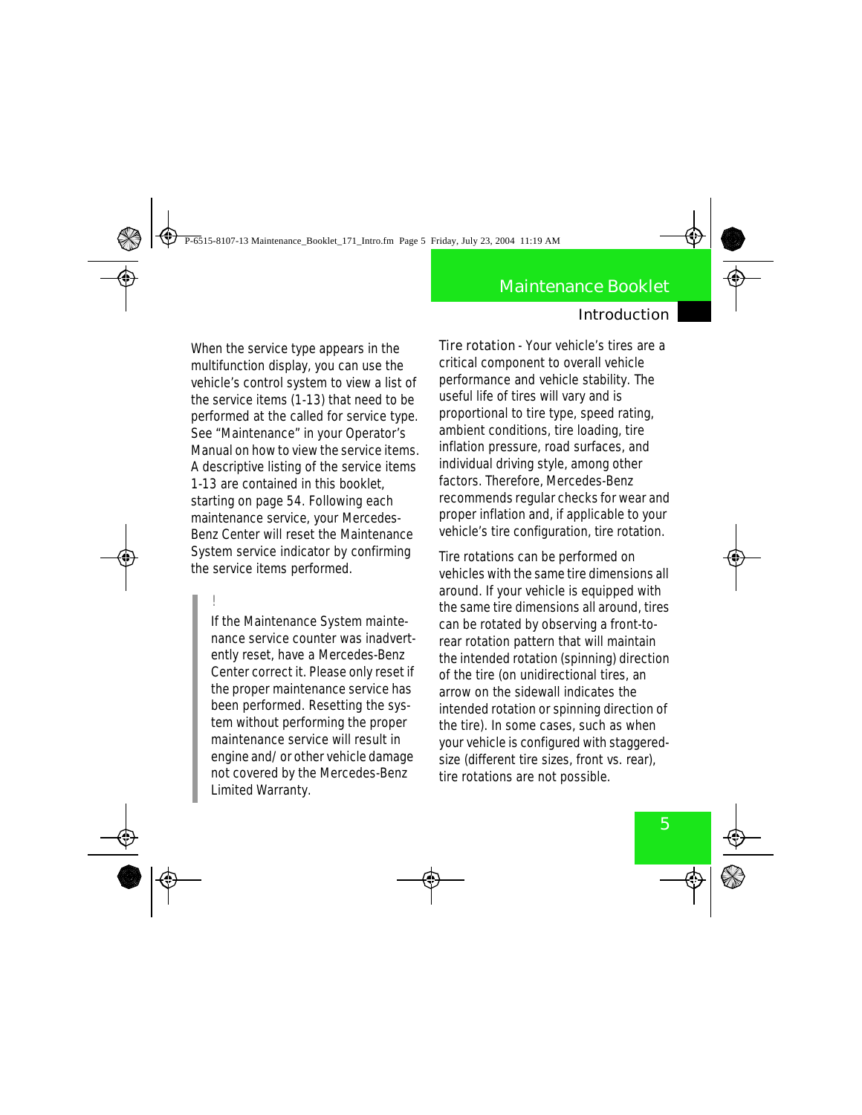When the service type appears in the multifunction display, you can use the vehicle's control system to view a list of the service items (1-13) that need to be performed at the called for service type. See "Maintenance" in your Operator's Manual on how to view the service items. A descriptive listing of the service items 1-13 are contained in this booklet, starting on page 54. Following each maintenance service, your Mercedes-Benz Center will reset the Maintenance System service indicator by confirming the service items performed.

!

If the Maintenance System maintenance service counter was inadvertently reset, have a Mercedes-Benz Center correct it. Please only reset if the proper maintenance service has been performed. Resetting the system without performing the proper maintenance service will result in engine and/or other vehicle damage not covered by the Mercedes-Benz Limited Warranty.

**Tire rotation** - Your vehicle's tires are a critical component to overall vehicle performance and vehicle stability. The useful life of tires will vary and is proportional to tire type, speed rating, ambient conditions, tire loading, tire inflation pressure, road surfaces, and individual driving style, among other factors. Therefore, Mercedes-Benz recommends regular checks for wear and proper inflation and, if applicable to your vehicle's tire configuration, tire rotation.

Tire rotations can be performed on vehicles with the same tire dimensions all around. If your vehicle is equipped with the same tire dimensions all around, tires can be rotated by observing a front-torear rotation pattern that will maintain the intended rotation (spinning) direction of the tire (on unidirectional tires, an arrow on the sidewall indicates the intended rotation or spinning direction of the tire). In some cases, such as when your vehicle is configured with staggeredsize (different tire sizes, front vs. rear), tire rotations are not possible.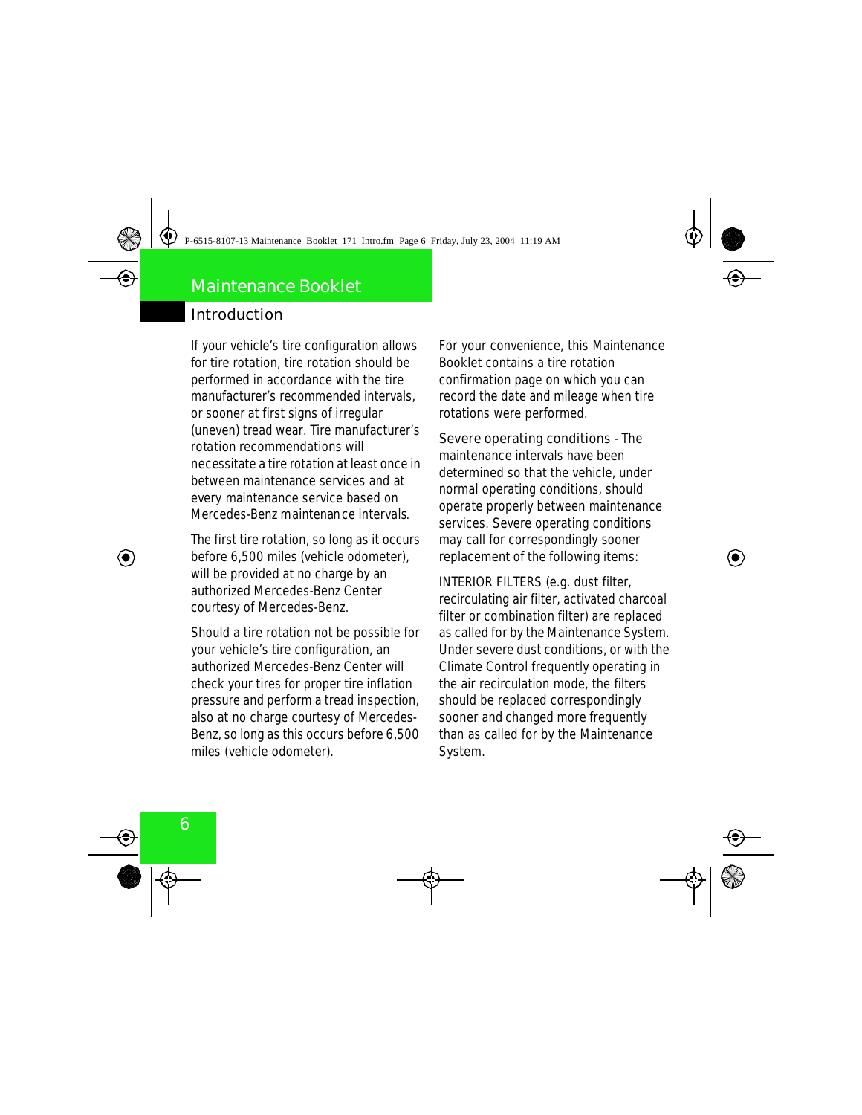If your vehicle's tire configuration allows for tire rotation, tire rotation should be performed in accordance with the tire manufacturer's recommended intervals, or sooner at first signs of irregular (uneven) tread wear. Tire manufacturer's rotation recommendations will necessitate a tire rotation at least once in between maintenance services and at every maintenance service based on Mercedes-Benz maintenance intervals.

The first tire rotation, so long as it occurs before 6,500 miles (vehicle odometer), will be provided at no charge by an authorized Mercedes-Benz Center courtesy of Mercedes-Benz.

Should a tire rotation not be possible for your vehicle's tire configuration, an authorized Mercedes-Benz Center will check your tires for proper tire inflation pressure and perform a tread inspection, also at no charge courtesy of Mercedes-Benz, so long as this occurs before 6,500 miles (vehicle odometer).

For your convenience, this Maintenance Booklet contains a tire rotation confirmation page on which you can record the date and mileage when tire rotations were performed.

**Severe operating conditions** - The maintenance intervals have been determined so that the vehicle, under normal operating conditions, should operate properly between maintenance services. Severe operating conditions may call for correspondingly sooner replacement of the following items:

INTERIOR FILTERS (e.g. dust filter, recirculating air filter, activated charcoal filter or combination filter) are replaced as called for by the Maintenance System. Under severe dust conditions, or with the Climate Control frequently operating in the air recirculation mode, the filters should be replaced correspondingly sooner and changed more frequently than as called for by the Maintenance **System.**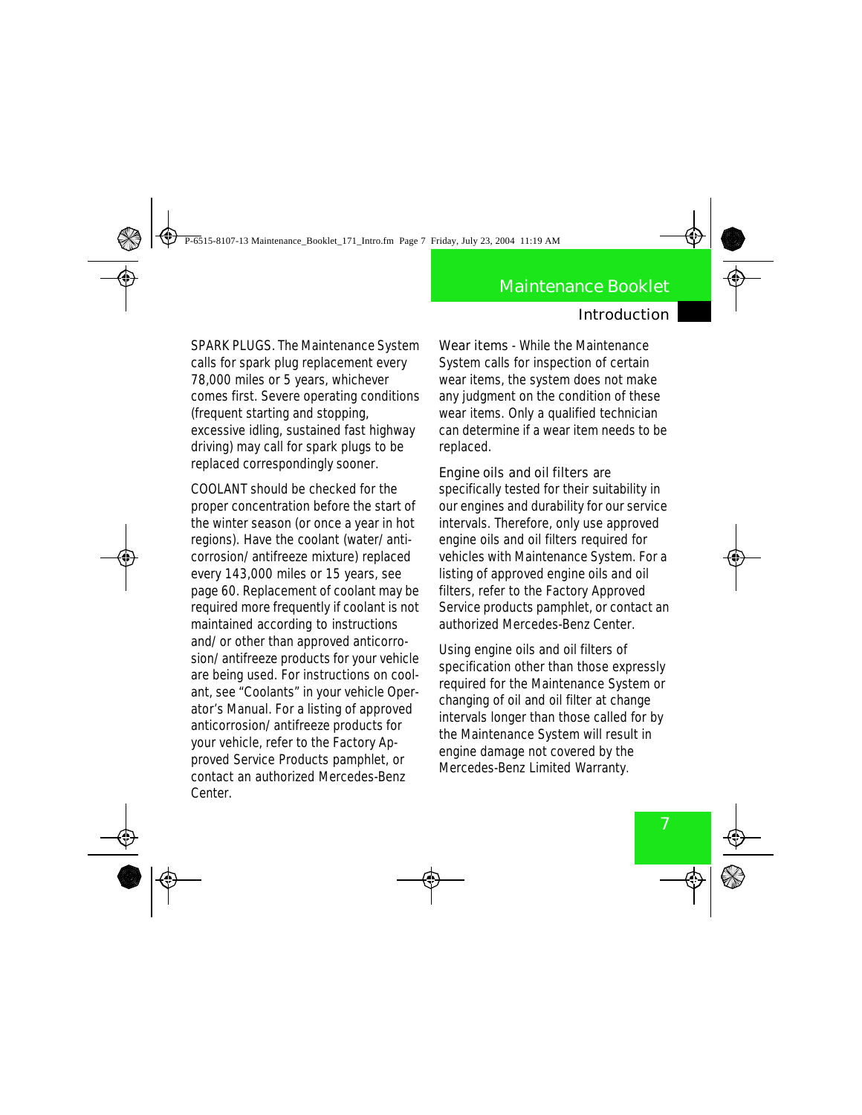SPARK PLUGS. The Maintenance System calls for spark plug replacement every 78,000 miles or 5 years, whichever comes first. Severe operating conditions (frequent starting and stopping, excessive idling, sustained fast highway driving) may call for spark plugs to be replaced correspondingly sooner.

COOLANT should be checked for the proper concentration before the start of the winter season (or once a year in hot regions). Have the coolant (water/anticorrosion/antifreeze mixture) replaced every 143,000 miles or 15 years, see page 60. Replacement of coolant may be required more frequently if coolant is not maintained according to instructions and/or other than approved anticorrosion/antifreeze products for your vehicle are being used. For instructions on coolant, see "Coolants" in your vehicle Operator's Manual. For a listing of approved anticorrosion/antifreeze products for your vehicle, refer to the Factory Approved Service Products pamphlet, or contact an authorized Mercedes-Benz Center.

**Wear items** - While the Maintenance System calls for inspection of certain wear items, the system does not make any judgment on the condition of these wear items. Only a qualified technician can determine if a wear item needs to be replaced.

**Engine oils and oil filters** are specifically tested for their suitability in our engines and durability for our service intervals. Therefore, only use approved engine oils and oil filters required for vehicles with Maintenance System. For a listing of approved engine oils and oil filters, refer to the Factory Approved Service products pamphlet, or contact an authorized Mercedes-Benz Center.

Using engine oils and oil filters of specification other than those expressly required for the Maintenance System or changing of oil and oil filter at change intervals longer than those called for by the Maintenance System will result in engine damage not covered by the Mercedes-Benz Limited Warranty.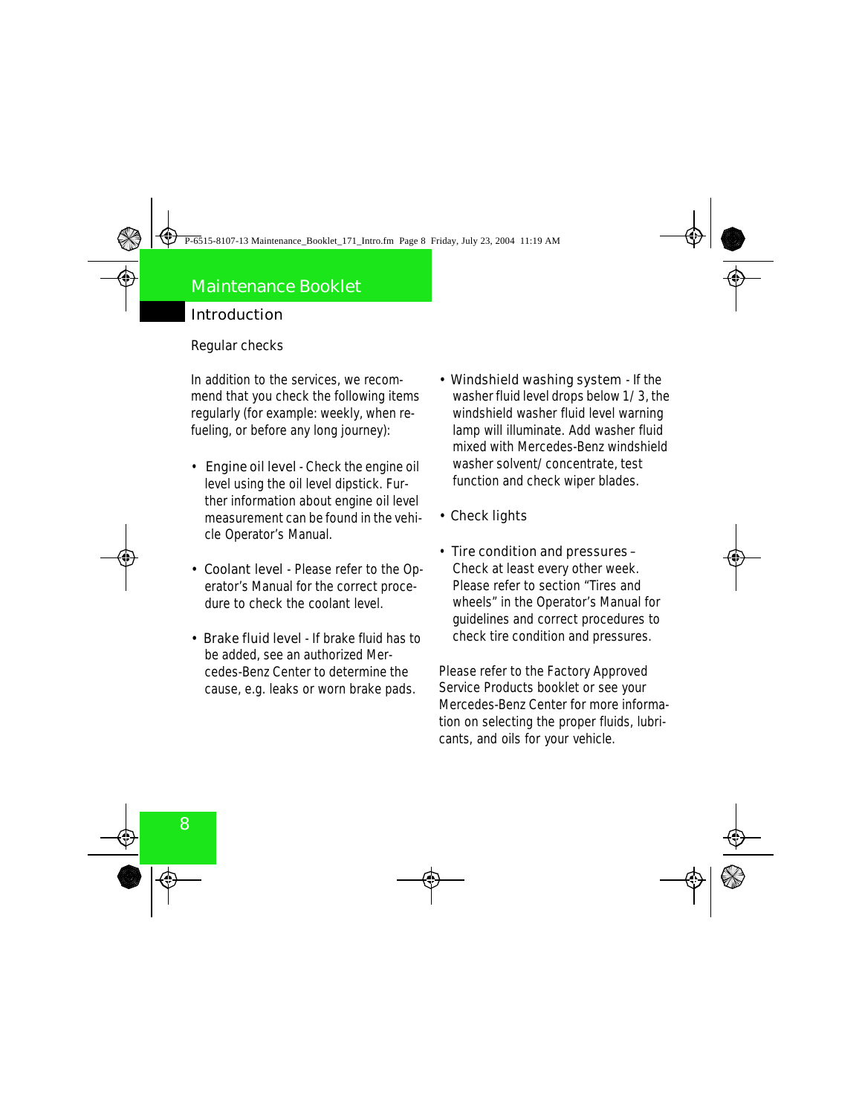#### **Regular checks**

In addition to the services, we recommend that you check the following items regularly (for example: weekly, when refueling, or before any long journey):

- **Engine oil level** Check the engine oil level using the oil level dipstick. Further information about engine oil level measurement can be found in the vehicle Operator's Manual.
- **Coolant level**  Please refer to the Operator's Manual for the correct procedure to check the coolant level.
- **Brake fluid level**  If brake fluid has to be added, see an authorized Mercedes-Benz Center to determine the cause, e.g. leaks or worn brake pads.
- **Windshield washing system**  If the washer fluid level drops below 1/3, the windshield washer fluid level warning lamp will illuminate. Add washer fluid mixed with Mercedes-Benz windshield washer solvent/concentrate, test function and check wiper blades.
- **Check lights**
- **Tire condition and pressures** Check at least every other week. Please refer to section "Tires and wheels" in the Operator's Manual for guidelines and correct procedures to check tire condition and pressures.

Please refer to the Factory Approved Service Products booklet or see your Mercedes-Benz Center for more information on selecting the proper fluids, lubricants, and oils for your vehicle.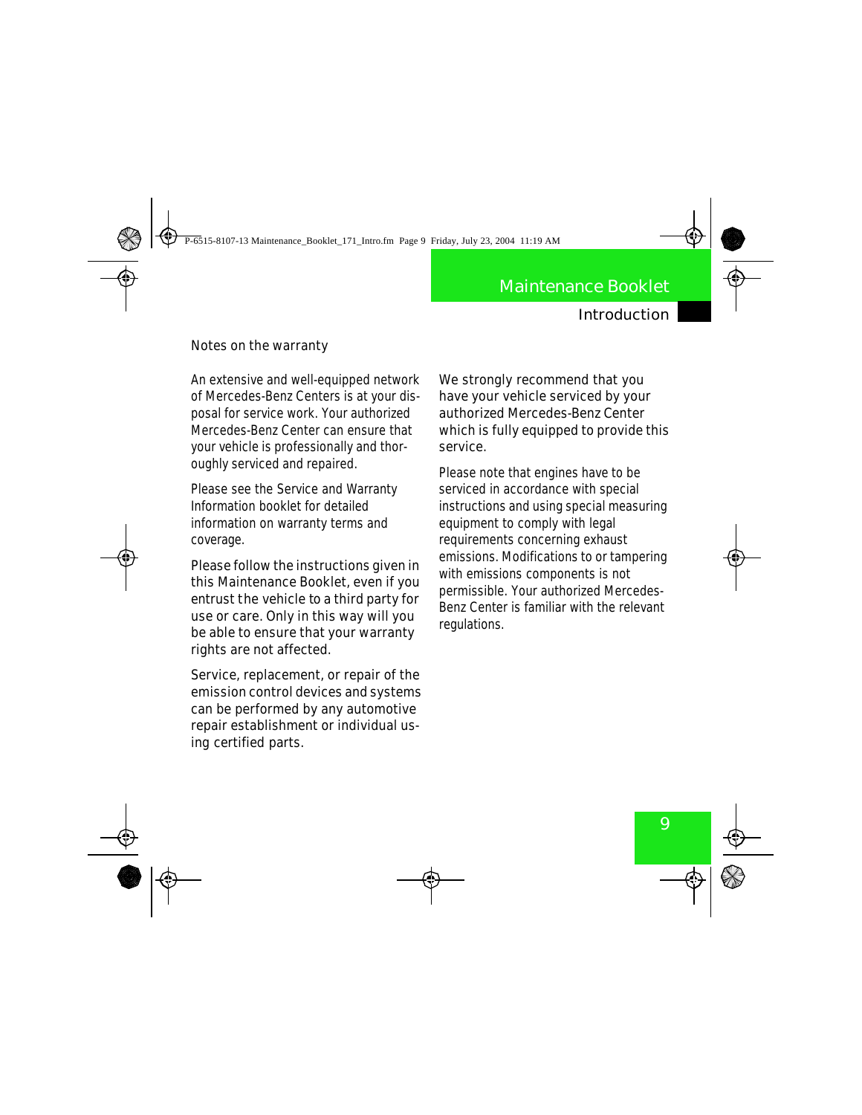#### **Notes on the warranty**

An extensive and well-equipped network of Mercedes-Benz Centers is at your disposal for service work. Your authorized Mercedes-Benz Center can ensure that your vehicle is professionally and thoroughly serviced and repaired.

Please see the Service and Warranty Information booklet for detailed information on warranty terms and coverage.

**Please follow the instructions given in this Maintenance Booklet, even if you entrust the vehicle to a third party for use or care. Only in this way will you be able to ensure that your warranty rights are not affected.** 

**Service, replacement, or repair of the emission control devices and systems can be performed by any automotive repair establishment or individual using certified parts.** 

**We strongly recommend that you have your vehicle serviced by your authorized Mercedes-Benz Center which is fully equipped to provide this service.** 

Please note that engines have to be serviced in accordance with special instructions and using special measuring equipment to comply with legal requirements concerning exhaust emissions. Modifications to or tampering with emissions components is not permissible. Your authorized Mercedes-Benz Center is familiar with the relevant regulations.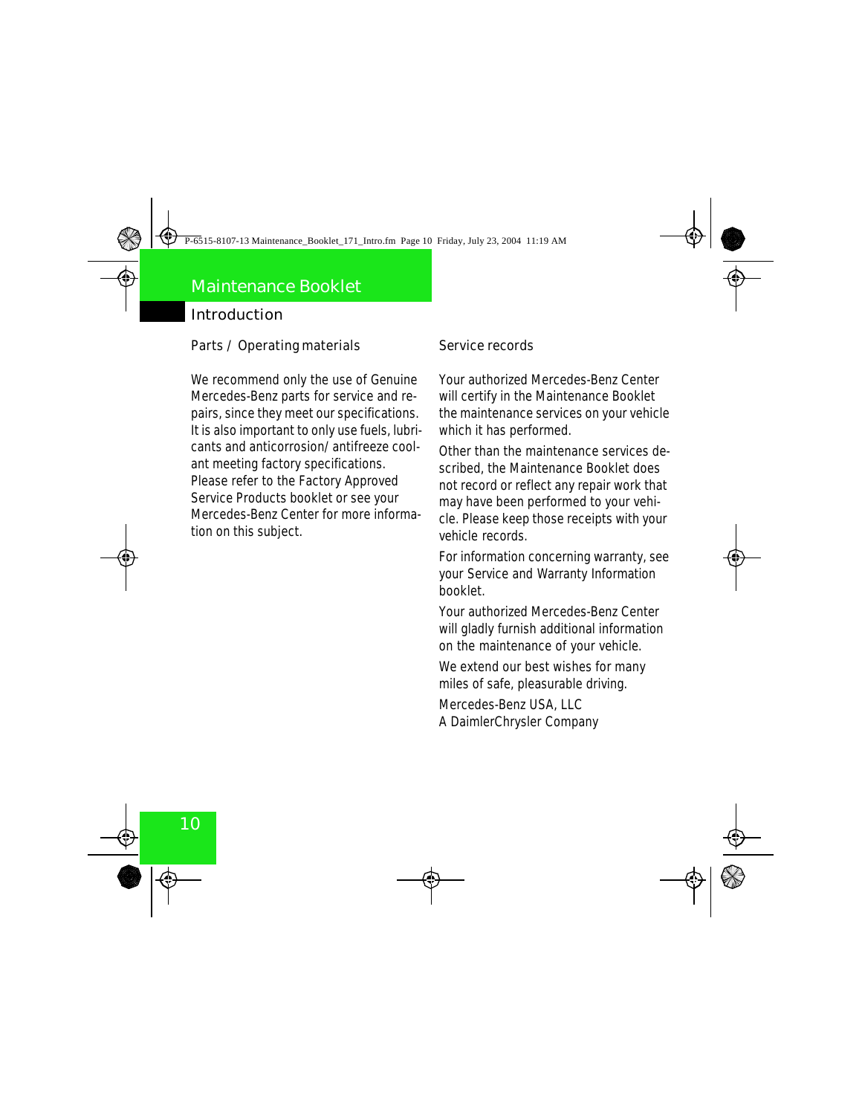#### **Parts / Operating materials**

We recommend only the use of Genuine Mercedes-Benz parts for service and repairs, since they meet our specifications. It is also important to only use fuels, lubricants and anticorrosion/antifreeze coolant meeting factory specifications. Please refer to the Factory Approved Service Products booklet or see your Mercedes-Benz Center for more information on this subject.

#### **Service records**

Your authorized Mercedes-Benz Center will certify in the Maintenance Booklet the maintenance services on your vehicle which it has performed.

Other than the maintenance services described, the Maintenance Booklet does not record or reflect any repair work that may have been performed to your vehicle. Please keep those receipts with your vehicle records.

For information concerning warranty, see your Service and Warranty Information booklet.

Your authorized Mercedes-Benz Center will gladly furnish additional information on the maintenance of your vehicle.

We extend our best wishes for many miles of safe, pleasurable driving.

Mercedes-Benz USA, LLC A DaimlerChrysler Company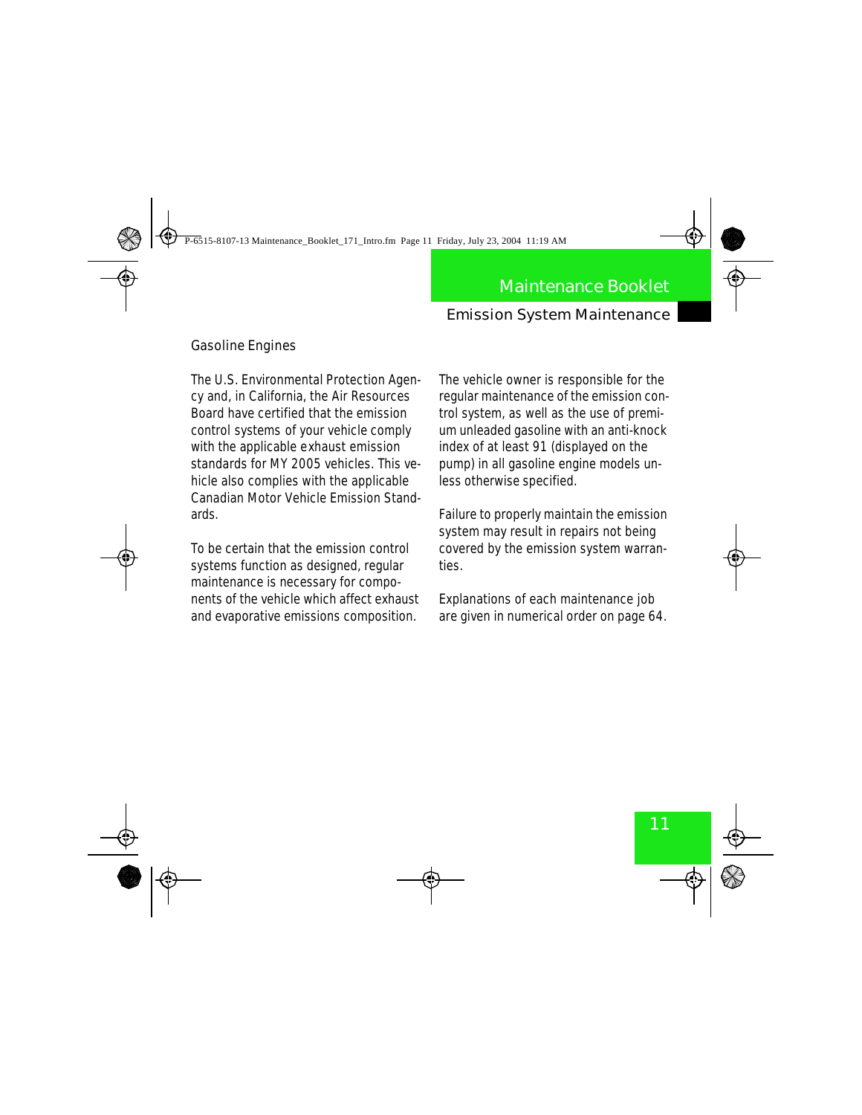#### Emission System Maintenance

#### **Gasoline Engines**

The U.S. Environmental Protection Agency and, in California, the Air Resources Board have certified that the emission control systems of your vehicle comply with the applicable exhaust emission standards for MY 2005 vehicles. This vehicle also complies with the applicable Canadian Motor Vehicle Emission Standards.

To be certain that the emission control systems function as designed, regular maintenance is necessary for components of the vehicle which affect exhaust and evaporative emissions composition.

The vehicle owner is responsible for the regular maintenance of the emission control system, as well as the use of premium unleaded gasoline with an anti-knock index of at least 91 (displayed on the pump) in all gasoline engine models unless otherwise specified.

Failure to properly maintain the emission system may result in repairs not being covered by the emission system warranties.

Explanations of each maintenance job are given in numerical order on page 64.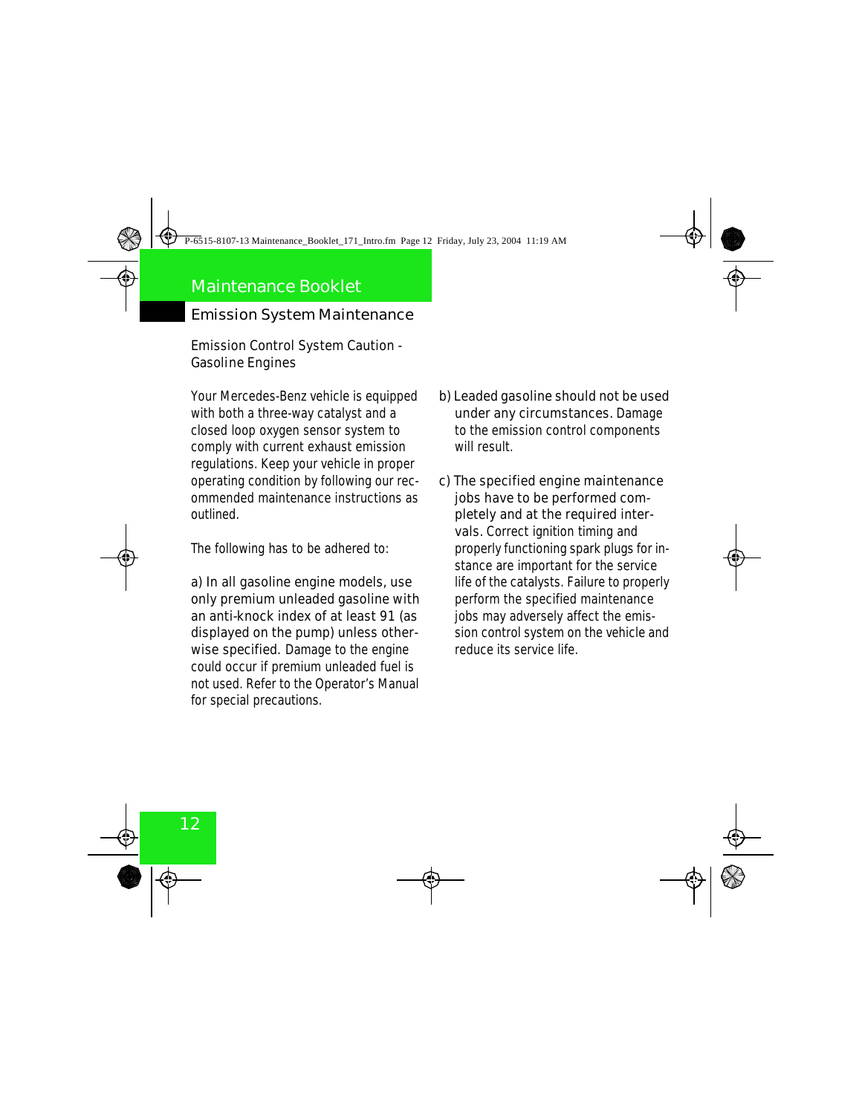Emission System Maintenance

**Emission Control System Caution - Gasoline Engines**

Your Mercedes-Benz vehicle is equipped with both a three-way catalyst and a closed loop oxygen sensor system to comply with current exhaust emission regulations. Keep your vehicle in proper operating condition by following our recommended maintenance instructions as outlined.

The following has to be adhered to:

**a) In all gasoline engine models, use only premium unleaded gasoline with an anti-knock index of at least 91 (as displayed on the pump) unless otherwise specified.** Damage to the engine could occur if premium unleaded fuel is not used. Refer to the Operator's Manual for special precautions.

- **b) Leaded gasoline should not be used under any circumstances.** Damage to the emission control components will result.
- **c) The specified engine maintenance jobs have to be performed completely and at the required intervals.** Correct ignition timing and properly functioning spark plugs for instance are important for the service life of the catalysts. Failure to properly perform the specified maintenance jobs may adversely affect the emission control system on the vehicle and reduce its service life.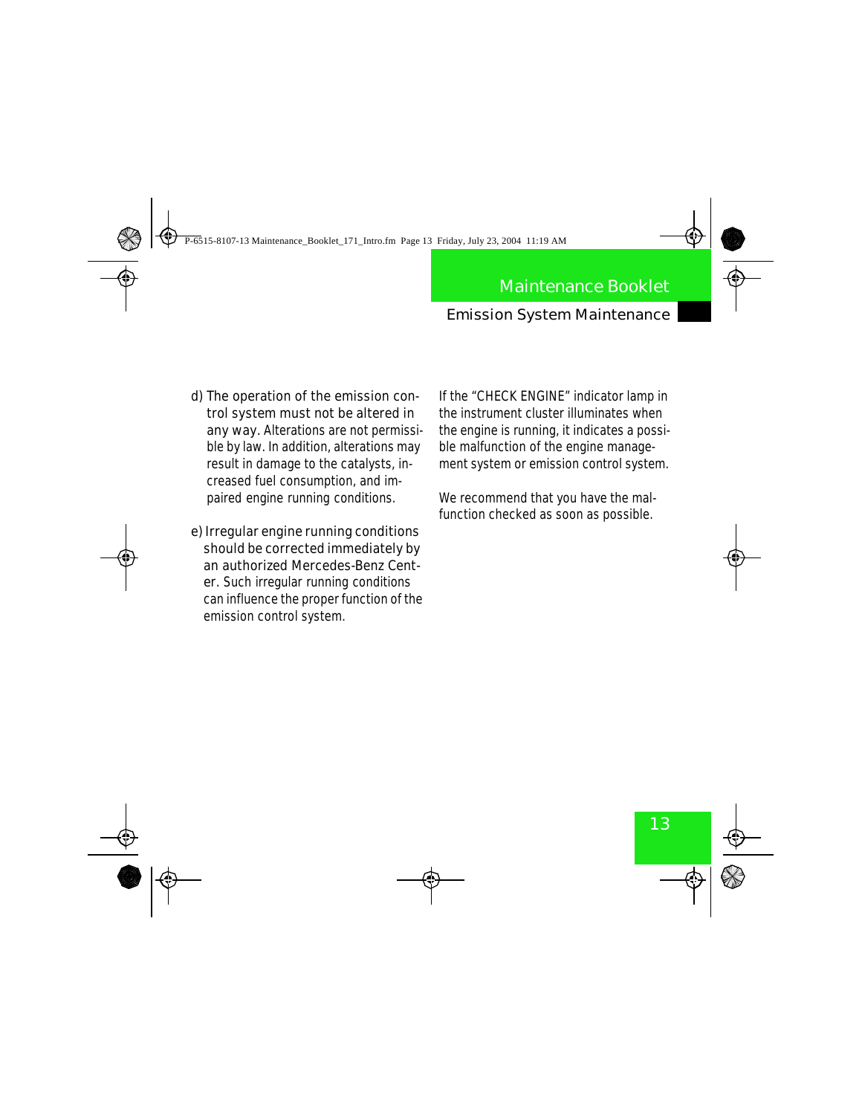#### Emission System Maintenance

- **d) The operation of the emission control system must not be altered in any way.** Alterations are not permissible by law. In addition, alterations may result in damage to the catalysts, increased fuel consumption, and impaired engine running conditions.
- **e) Irregular engine running conditions should be corrected immediately by an authorized Mercedes-Benz Center.** Such irregular running conditions can influence the proper function of the emission control system.

If the "CHECK ENGINE" indicator lamp in the instrument cluster illuminates when the engine is running, it indicates a possible malfunction of the engine management system or emission control system.

We recommend that you have the malfunction checked as soon as possible.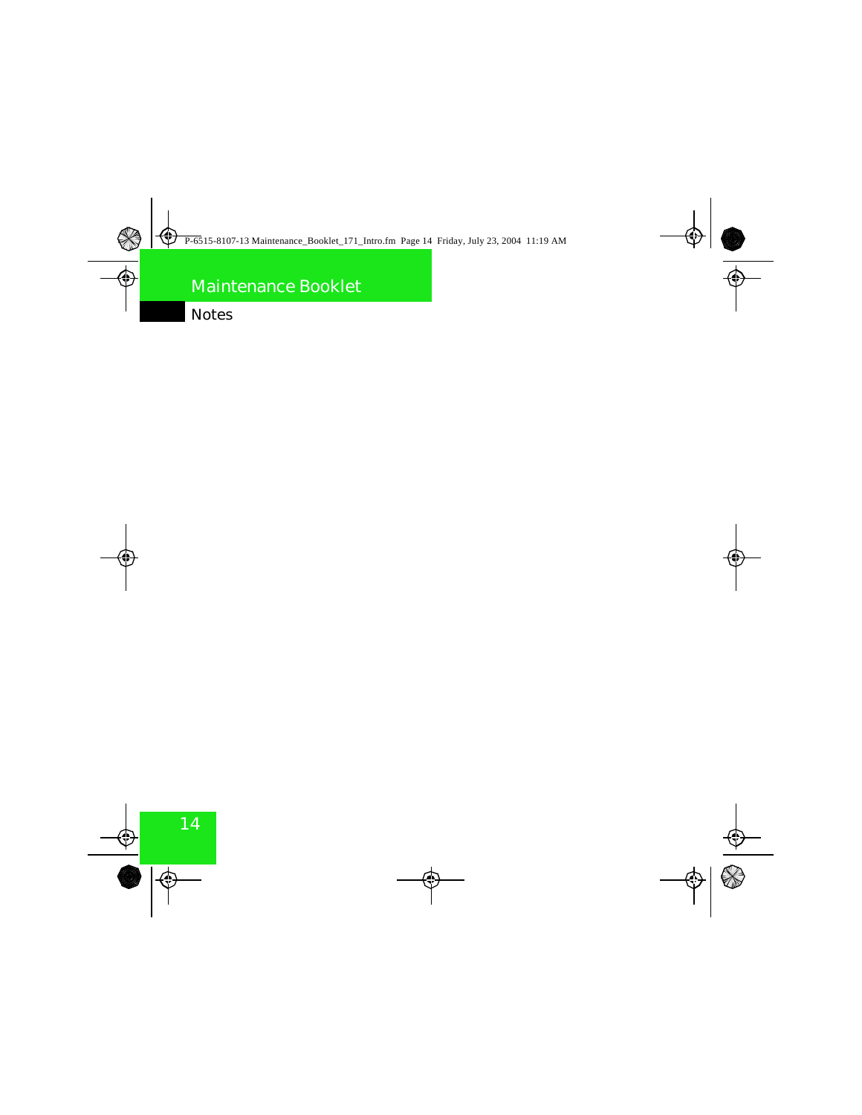### Notes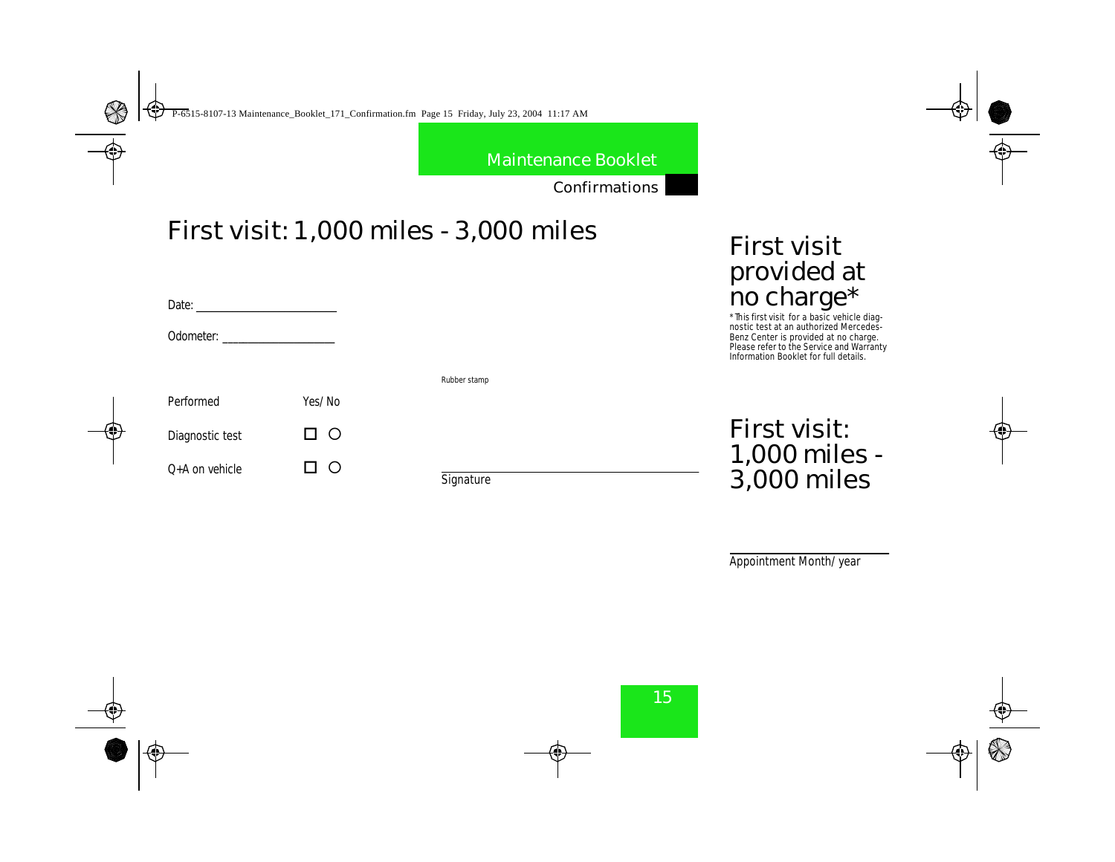Confirmations

# First visit: 1,000 miles - 3,000 miles

| Date:            |        |                     |
|------------------|--------|---------------------|
|                  |        |                     |
|                  |        | <b>Rubber stamp</b> |
| <b>Performed</b> | Yes/No |                     |
| Diagnostic test  | □○     |                     |
| 0+A on vehicle   |        |                     |

**Signature** 

# First visit provided at no charge\*

\*This first visit for a basic vehicle diagnostic test at an authorized Mercedes-Benz Center is provided at no charge. Please refer to the Service and Warranty Information Booklet for full details.

First visit: 1,000 miles - 3,000 miles

Appointment Month/year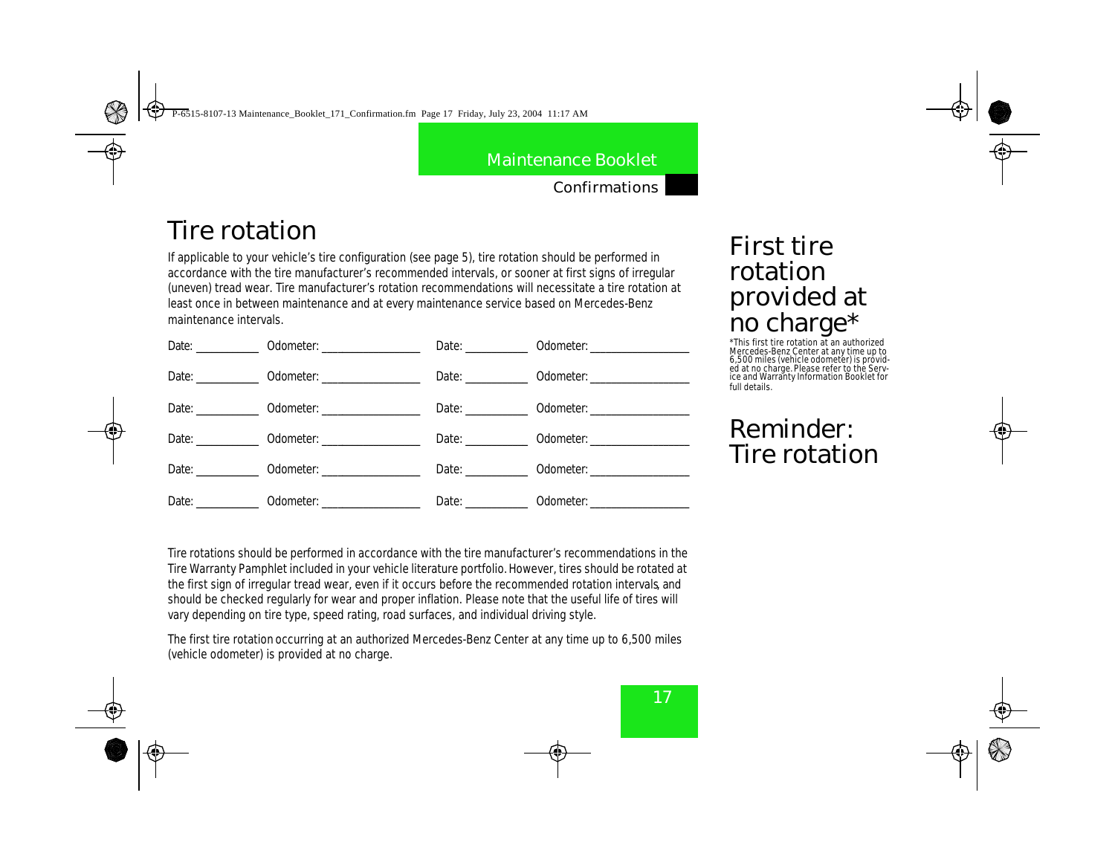Confirmations

# Tire rotation

If applicable to your vehicle's tire configuration (see page 5), tire rotation should be performed in accordance with the tire manufacturer's recommended intervals, or sooner at first signs of irregular (uneven) tread wear. Tire manufacturer's rotation recommendations will necessitate a tire rotation at least once in between maintenance and at every maintenance service based on Mercedes-Benz maintenance intervals.

|                   |                                              | Date: <b>Date</b> | <b>Odometer:</b> _____________________ |
|-------------------|----------------------------------------------|-------------------|----------------------------------------|
| Date: <b>Date</b> |                                              | Date: <b>Date</b> |                                        |
|                   |                                              | Date: <b>Date</b> |                                        |
|                   | Date: 0dometer:                              | Date: <b>Date</b> |                                        |
|                   | Date: 0dometer:                              | Date: <b>Date</b> |                                        |
|                   | Date: <b>Odometer CONSERVING CONSERVANCE</b> |                   | Date: <b>Odometer:</b> Odometer:       |

# First tire rotation provided at no charge\*

\*This first tire rotation at an authorized Mercedes-Benz Center at any time up to 6,500 miles (vehicle odometer) is provid-ed at no charge. Please refer to the Service and Warranty Information Booklet for full details.

# Reminder: Tire rotation

Tire rotations should be performed in accordance with the tire manufacturer's recommendations in the Tire Warranty Pamphlet included in your vehicle literature portfolio. However, tires should be rotated at the first sign of irregular tread wear, even if it occurs before the recommended rotation intervals, and should be checked regularly for wear and proper inflation. Please note that the useful life of tires will vary depending on tire type, speed rating, road surfaces, and individual driving style.

The first tire rotation occurring at an authorized Mercedes-Benz Center at any time up to 6,500 miles (vehicle odometer) is provided at no charge.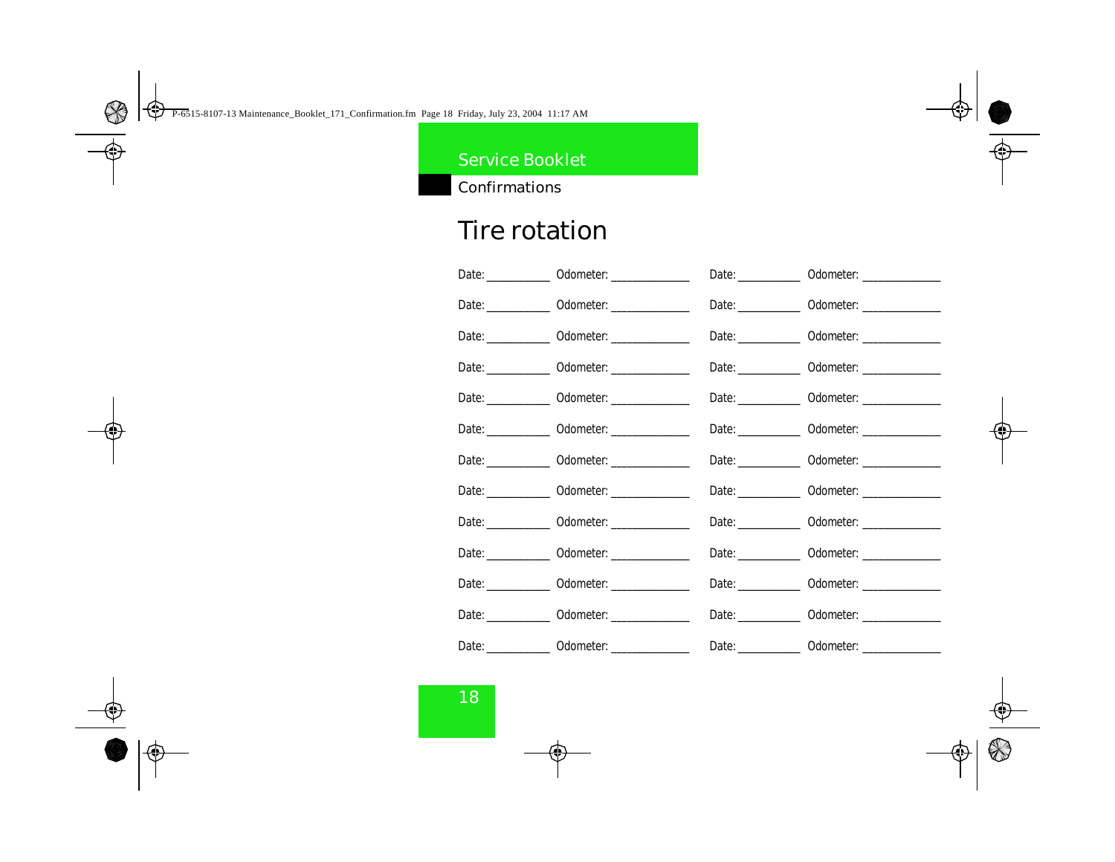Confirmations

# Tire rotation

| Date: ____________ 0dometer: _______________ Date: ___________ 0dometer: ____________        |  |
|----------------------------------------------------------------------------------------------|--|
| Date: 0dometer. 0dometer. Date: 0dometer.                                                    |  |
| Date: _____________ Odometer: __________________ Date: ____________ Odometer: ______________ |  |
| Date: 0dometer. 0dometer. Date: 0dometer.                                                    |  |
| Date: 0dometer. 0dometer. Date: 0dometer.                                                    |  |
| Date: ____________ Odometer: _______________ Date: ____________ Odometer: _____________      |  |
| Date: _____________ Odometer: __________________ Date: ____________ Odometer: ______________ |  |
| Date: _____________ Odometer: _________________ Date: ____________ Odometer: ______________  |  |
| Date: _____________ 0dometer: ________________ Date: ____________ 0dometer: ______________   |  |
| Date: 0dometer. 0dometer. Date: 0dometer.                                                    |  |
| Date: ____________ Odometer: ________________ Date: ____________ Odometer: ____________      |  |
| Date: 0dometer. 0dometer. Date: 0dometer.                                                    |  |
| Date: 0dometer. 0dometer. Date: 0dometer.                                                    |  |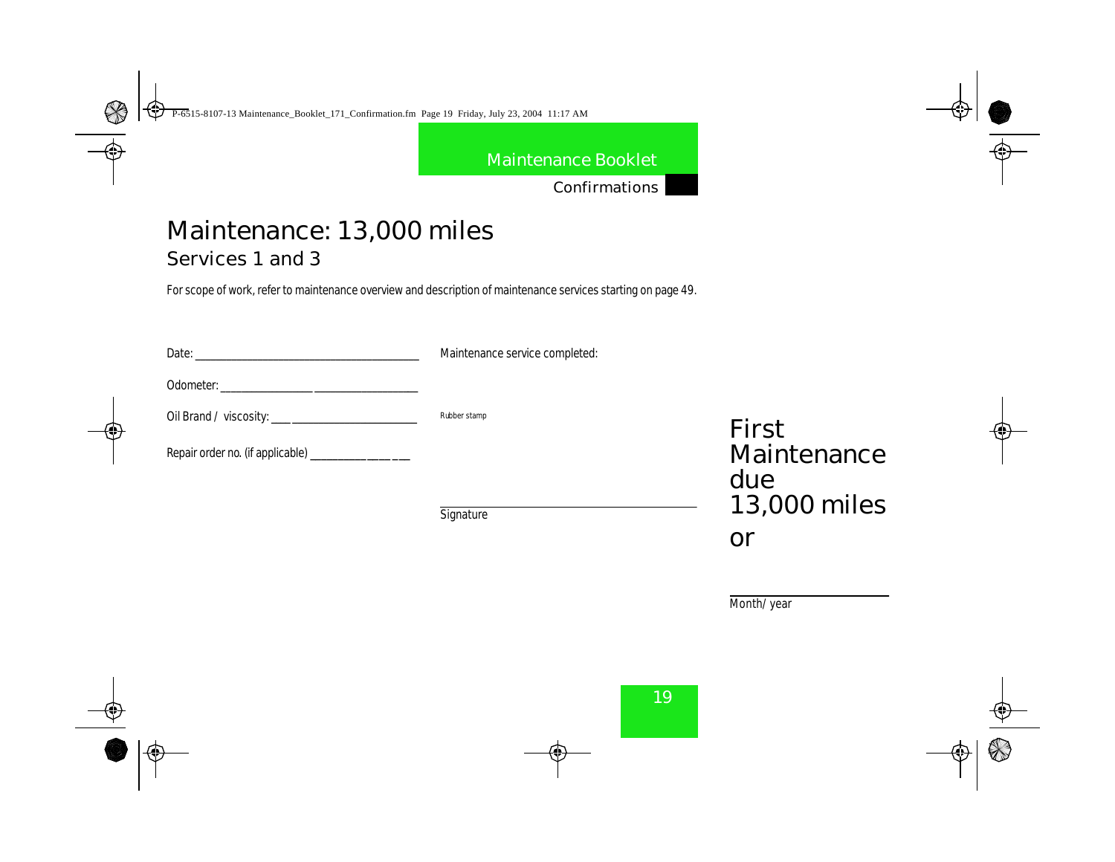Confirmations

# Maintenance: 13,000 miles Services 1 and 3

For scope of work, refer to maintenance overview and description of maintenance services starting on page 49.

| Date:                                                     | Maintenance service completed: |                   |
|-----------------------------------------------------------|--------------------------------|-------------------|
| <b>Odometer:</b><br><u> 1980 - Jan Barbarat, martin a</u> |                                |                   |
|                                                           | <b>Rubber stamp</b>            | First             |
| Repair order no. (if applicable) ______________           |                                | Maintenand<br>due |
|                                                           |                                |                   |

**Signature** 

Maintenance 13,000 miles or

Month/year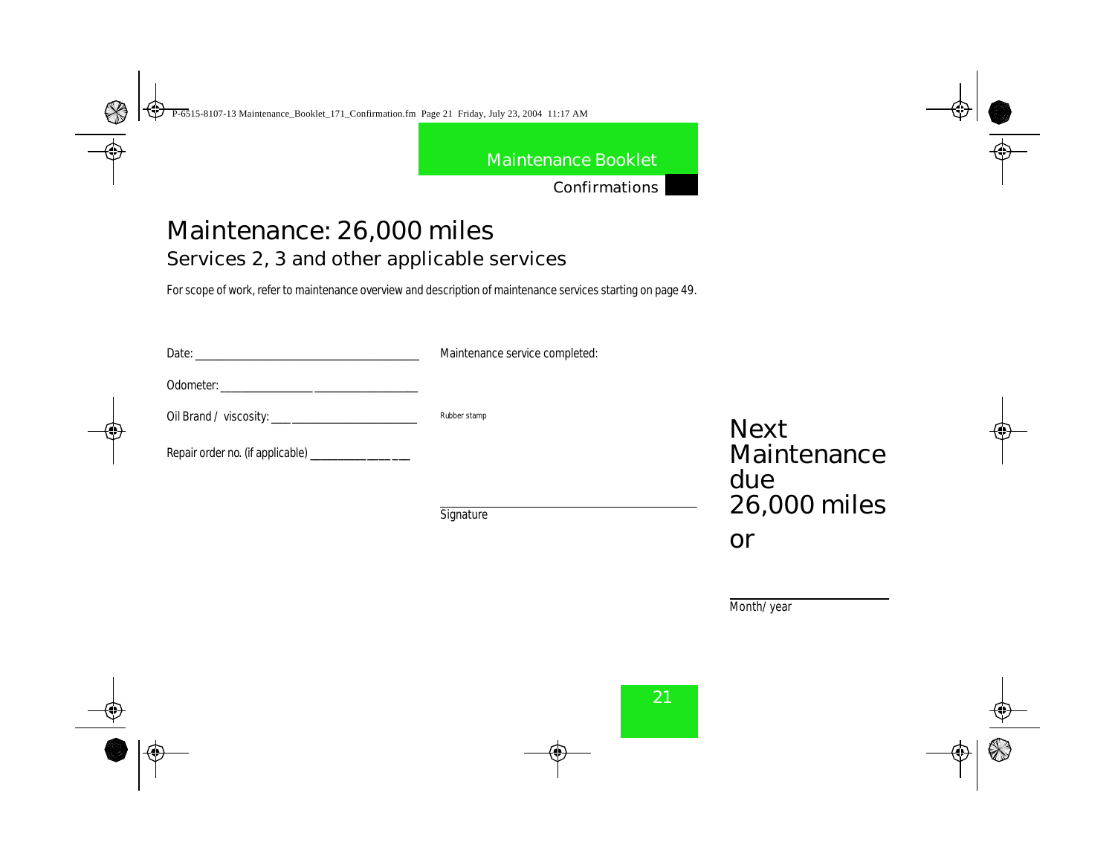Confirmations

# Maintenance: 26,000 miles Services 2, 3 and other applicable services

For scope of work, refer to maintenance overview and description of maintenance services starting on page 49.

| Date:                                           | Maintenance service completed: |                    |
|-------------------------------------------------|--------------------------------|--------------------|
| <b>Odometer:</b>                                |                                |                    |
|                                                 | <b>Rubber stamp</b>            | <b>Next</b>        |
| Repair order no. (if applicable) ______________ |                                | Maintenance<br>due |
|                                                 | Cinemature                     | 26,000 miles       |

**Signature** 

Month/year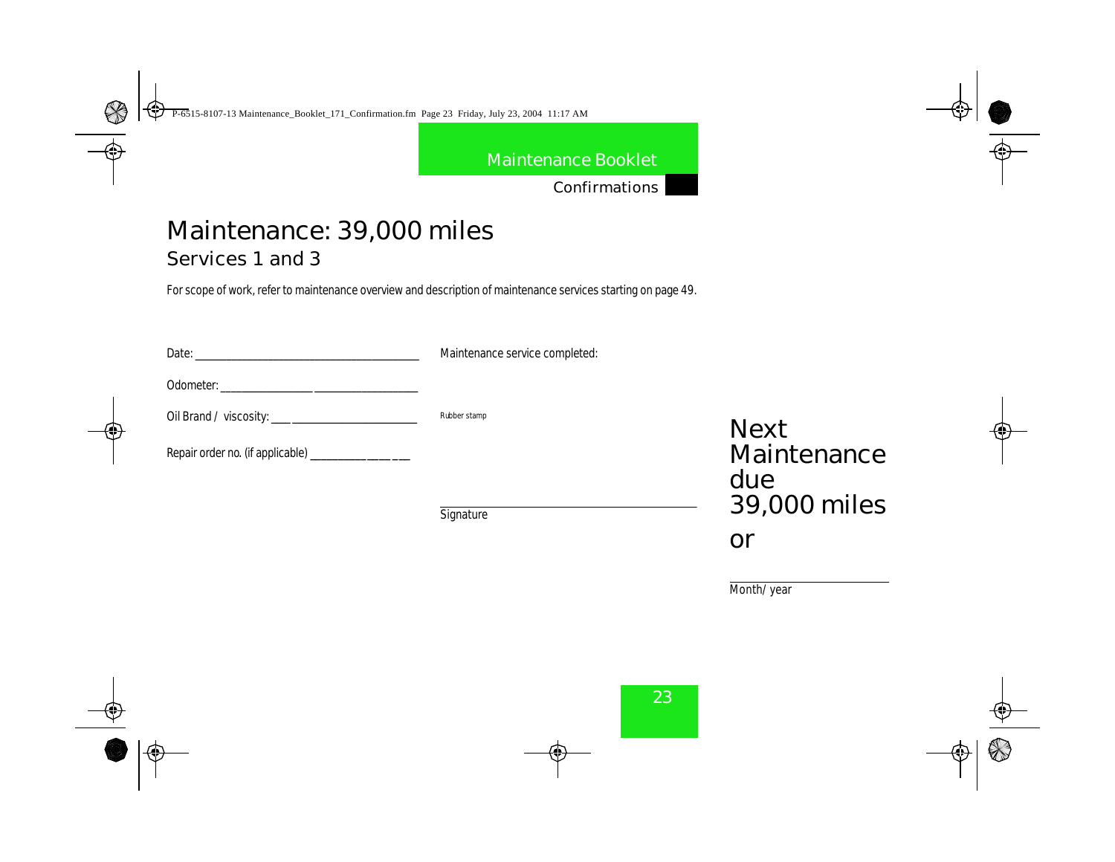Confirmations

# Maintenance: 39,000 miles

Services 1 and 3

For scope of work, refer to maintenance overview and description of maintenance services starting on page 49.

| <b>Date:</b><br><u> 1980 - John Stein, Amerikaansk politiker (</u> | Maintenance service completed: |                                    |
|--------------------------------------------------------------------|--------------------------------|------------------------------------|
|                                                                    |                                |                                    |
|                                                                    | <b>Rubber stamp</b>            | <b>Next</b>                        |
| Repair order no. (if applicable) ________________                  |                                | Maintenance                        |
|                                                                    |                                | due<br>$\sim$ $\sim$ $\sim$ $\sim$ |

**Signature** 

Maintenance 39,000 miles or

Month/year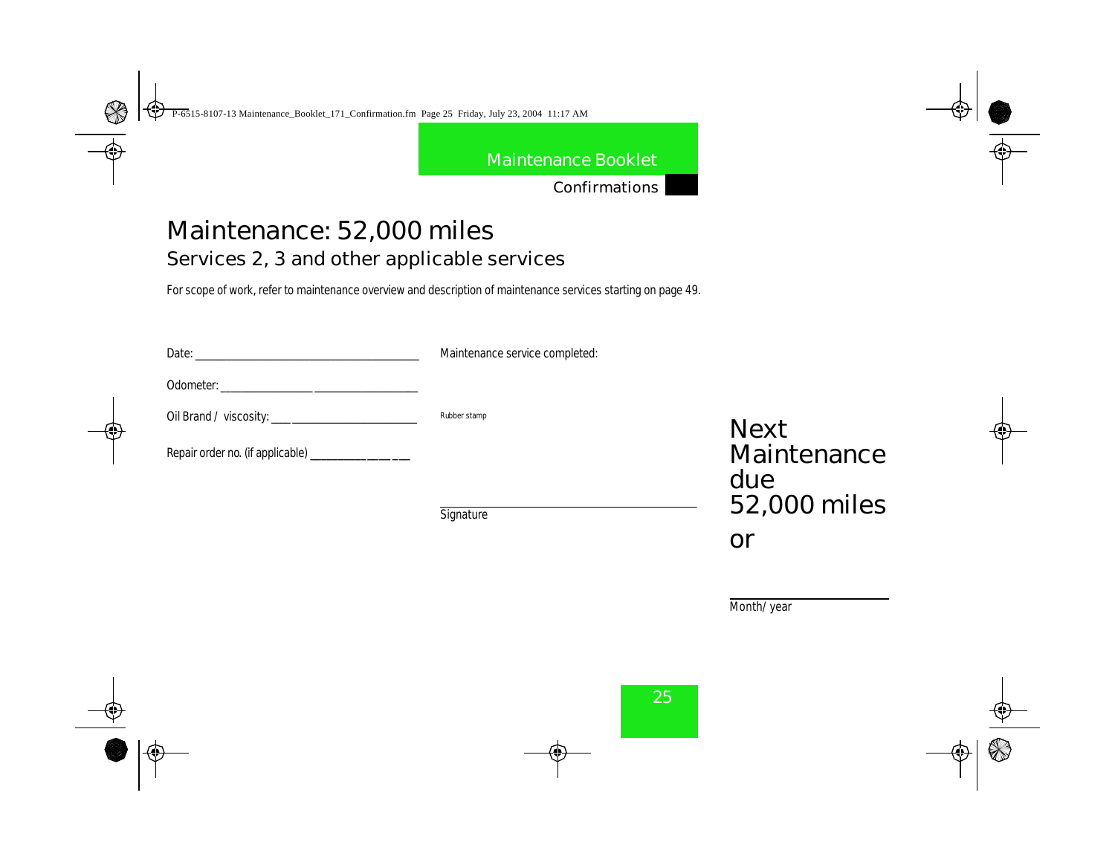Confirmations

# Maintenance: 52,000 miles Services 2, 3 and other applicable services

For scope of work, refer to maintenance overview and description of maintenance services starting on page 49.

| Date:                                           | Maintenance service completed: |                    |
|-------------------------------------------------|--------------------------------|--------------------|
| <b>Odometer:</b>                                |                                |                    |
|                                                 | <b>Rubber stamp</b>            | <b>Next</b>        |
| Repair order no. (if applicable) ______________ |                                | Maintenance<br>due |
|                                                 | Cinentum                       | 52,000 miles       |

**Signature** 

Month/year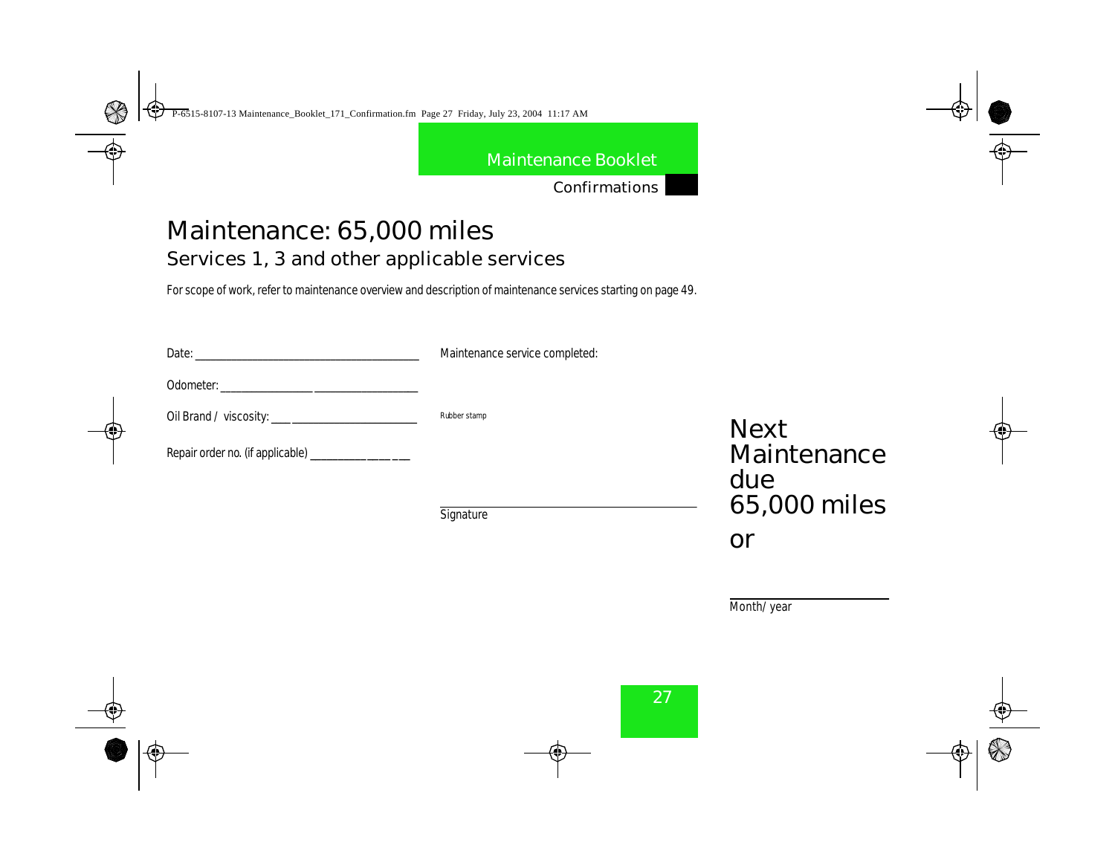Confirmations

# Maintenance: 65,000 miles Services 1, 3 and other applicable services

For scope of work, refer to maintenance overview and description of maintenance services starting on page 49.

| <b>Date:</b>                                   | Maintenance service completed: |                    |
|------------------------------------------------|--------------------------------|--------------------|
| <b>Odometer:</b>                               |                                |                    |
|                                                | <b>Rubber stamp</b>            | <b>Next</b>        |
| Repair order no. (if applicable) _____________ |                                | Maintenance<br>due |
|                                                | Cinematurn                     | 65,000 miles       |

**Signature** 

Month/year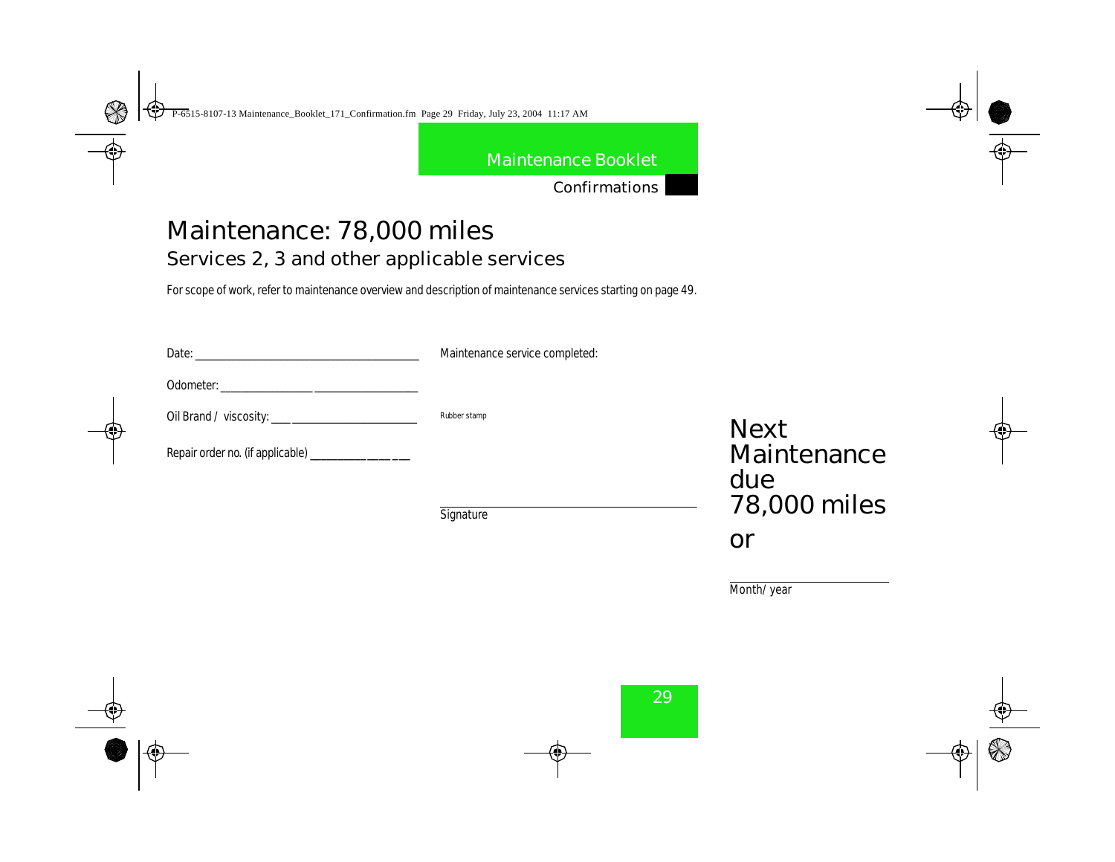Confirmations

# Maintenance: 78,000 miles Services 2, 3 and other applicable services

For scope of work, refer to maintenance overview and description of maintenance services starting on page 49.

| <b>Date:</b>                     | Maintenance service completed: |                            |
|----------------------------------|--------------------------------|----------------------------|
|                                  |                                |                            |
|                                  | <b>Rubber stamp</b>            | <b>Next</b>                |
| Repair order no. (if applicable) |                                | Maintenance                |
|                                  |                                | due<br>$70.000 \times 100$ |

**Signature** 

78,000 miles or

Month/year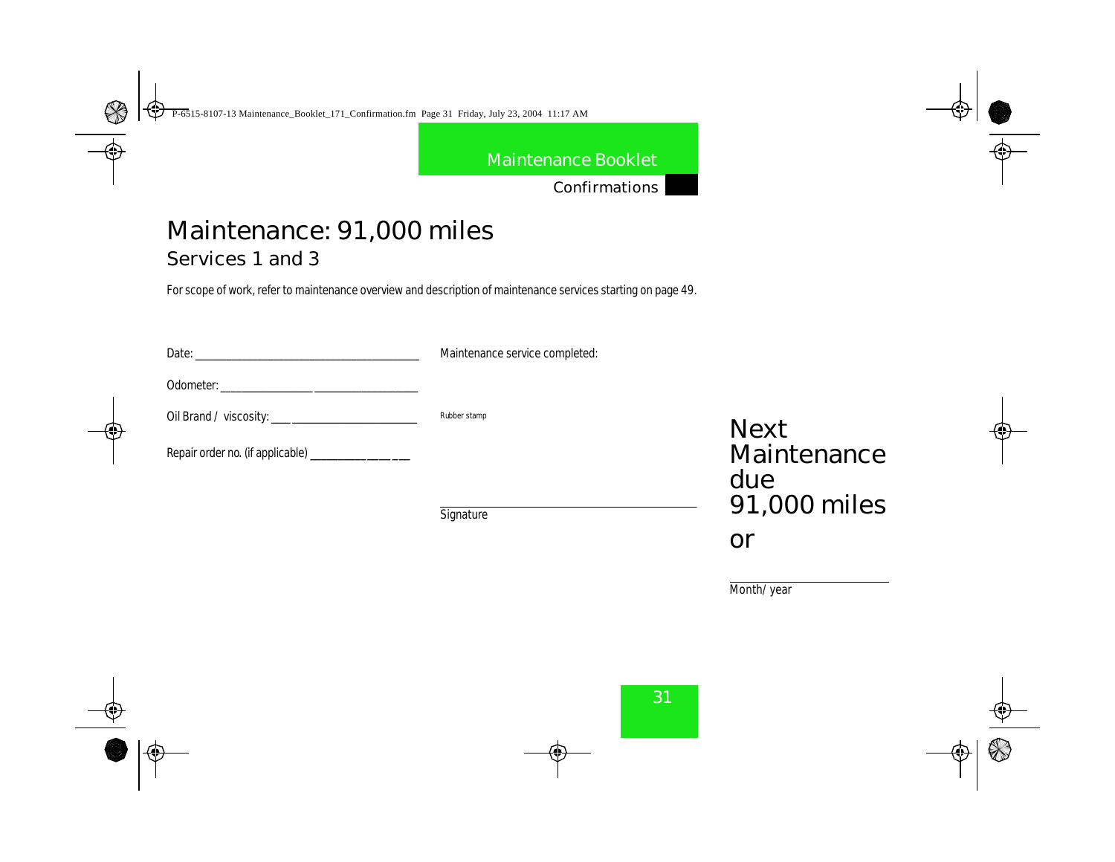Confirmations

# Maintenance: 91,000 miles

Services 1 and 3

For scope of work, refer to maintenance overview and description of maintenance services starting on page 49.

| <b>Date:</b>                                  | Maintenance service completed: |                   |
|-----------------------------------------------|--------------------------------|-------------------|
| <b>Odometer:</b>                              |                                |                   |
|                                               | <b>Rubber stamp</b>            | <b>Next</b>       |
| Repair order m (if applicable) ______________ |                                | Maintenand<br>due |

**Signature** 

Maintenance due 91,000 miles or

Month/year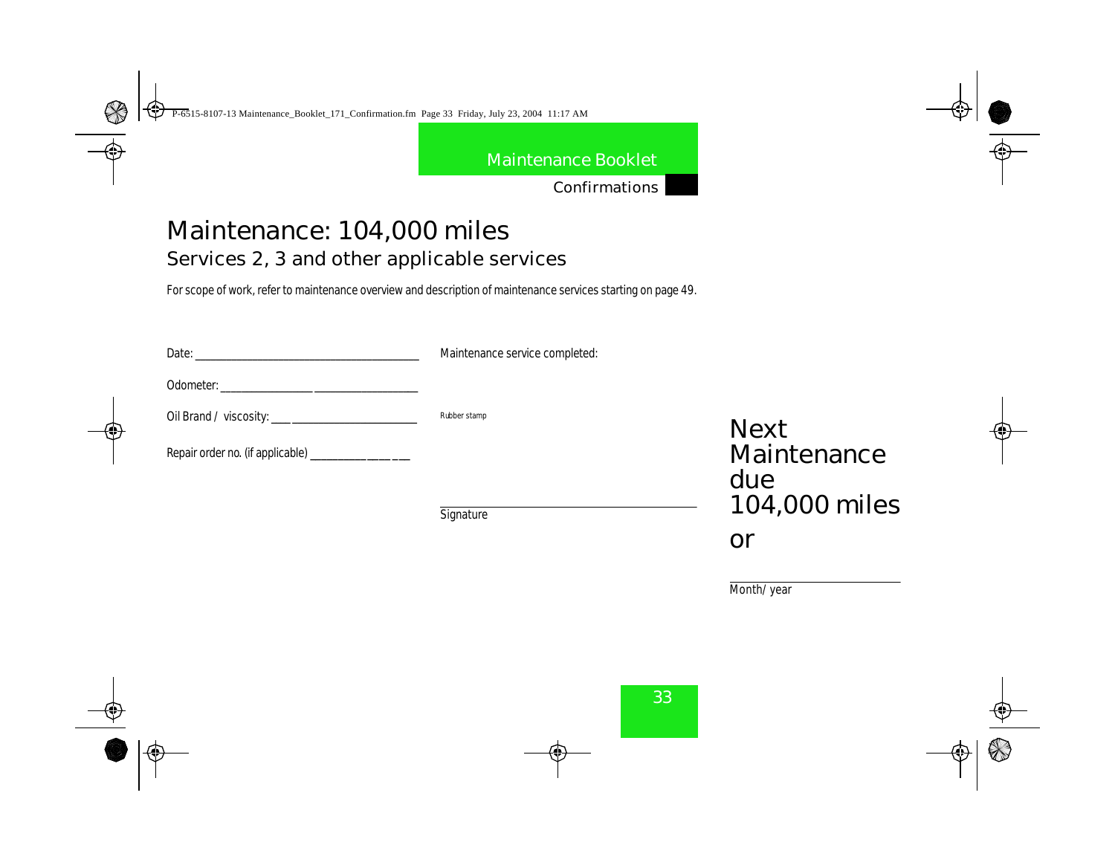Confirmations

# Maintenance: 104,000 miles Services 2, 3 and other applicable services

For scope of work, refer to maintenance overview and description of maintenance services starting on page 49.

| Date: <b>Date</b> and <b>Date</b> and <b>Date</b> and <b>Date</b> and <b>Date</b> and <b>Date</b> and <b>Date</b> and <b>D</b> | Maintenance service completed: |                    |
|--------------------------------------------------------------------------------------------------------------------------------|--------------------------------|--------------------|
| <b>Odometer:</b><br>the contract of the contract of the contract of the contract of the contract of                            |                                |                    |
|                                                                                                                                | <b>Rubber stamp</b>            | <b>Next</b>        |
| Repair order no. (if applicable) ________________                                                                              |                                | Maintenance<br>due |
|                                                                                                                                | Circuntum                      | 104,000 miles      |

**Signature** 

Month/year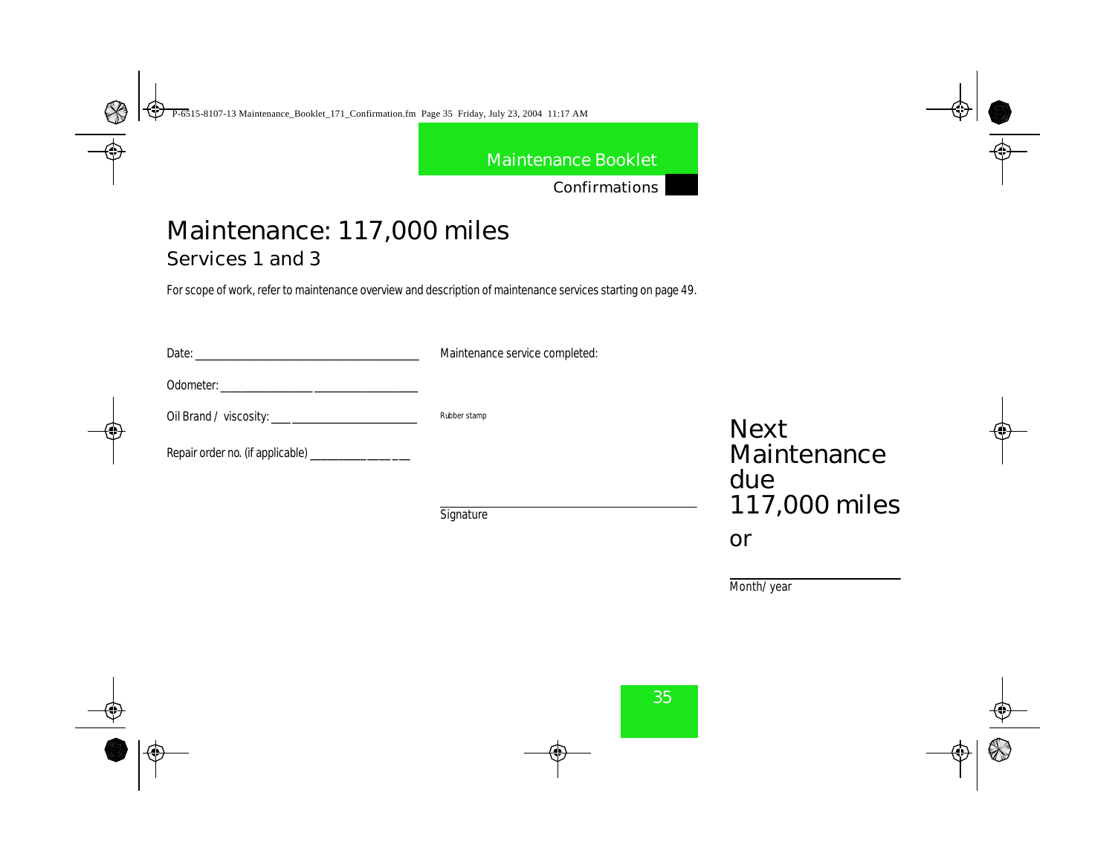Confirmations

# Maintenance: 117,000 miles

Services 1 and 3

For scope of work, refer to maintenance overview and description of maintenance services starting on page 49.

| <b>Date:</b>                                                                                                                                                                                                                                             | Maintenance service completed: |                   |
|----------------------------------------------------------------------------------------------------------------------------------------------------------------------------------------------------------------------------------------------------------|--------------------------------|-------------------|
| <b>Odometer:</b><br><u> 1980 - Jan Stein Stein Stein Stein Stein Stein Stein Stein Stein Stein Stein Stein Stein Stein Stein Stein Stein Stein Stein Stein Stein Stein Stein Stein Stein Stein Stein Stein Stein Stein Stein Stein Stein Stein Stein</u> |                                |                   |
|                                                                                                                                                                                                                                                          | <b>Rubber stamp</b>            | <b>Next</b>       |
| Repair order no. (if applicable) _______________                                                                                                                                                                                                         |                                | Maintenand<br>due |

**Signature** 

Maintenance due 117,000 miles

or

Month/year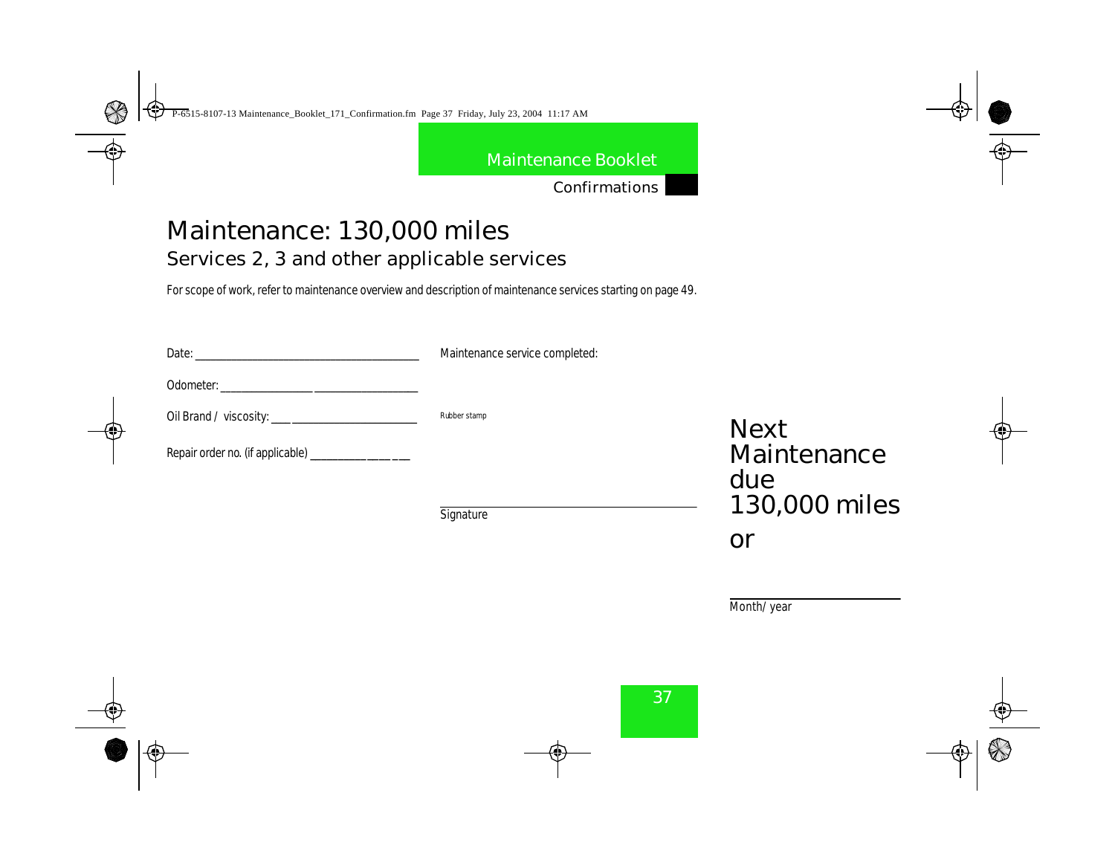Confirmations

# Maintenance: 130,000 miles Services 2, 3 and other applicable services

For scope of work, refer to maintenance overview and description of maintenance services starting on page 49.

| Date: <b>Date</b> and <b>Date</b> and <b>Date</b> and <b>Date</b> and <b>Date</b> and <b>Date</b> and <b>Date</b> and <b>D</b> | Maintenance service completed: |                    |
|--------------------------------------------------------------------------------------------------------------------------------|--------------------------------|--------------------|
| <b>Odometer:</b>                                                                                                               |                                |                    |
|                                                                                                                                | <b>Rubber stamp</b>            | <b>Next</b>        |
| Repair order no. (if applicable) ________________                                                                              |                                | Maintenance<br>due |
|                                                                                                                                | Cionatum                       | 130,000 miles      |

**Signature** 

Month/year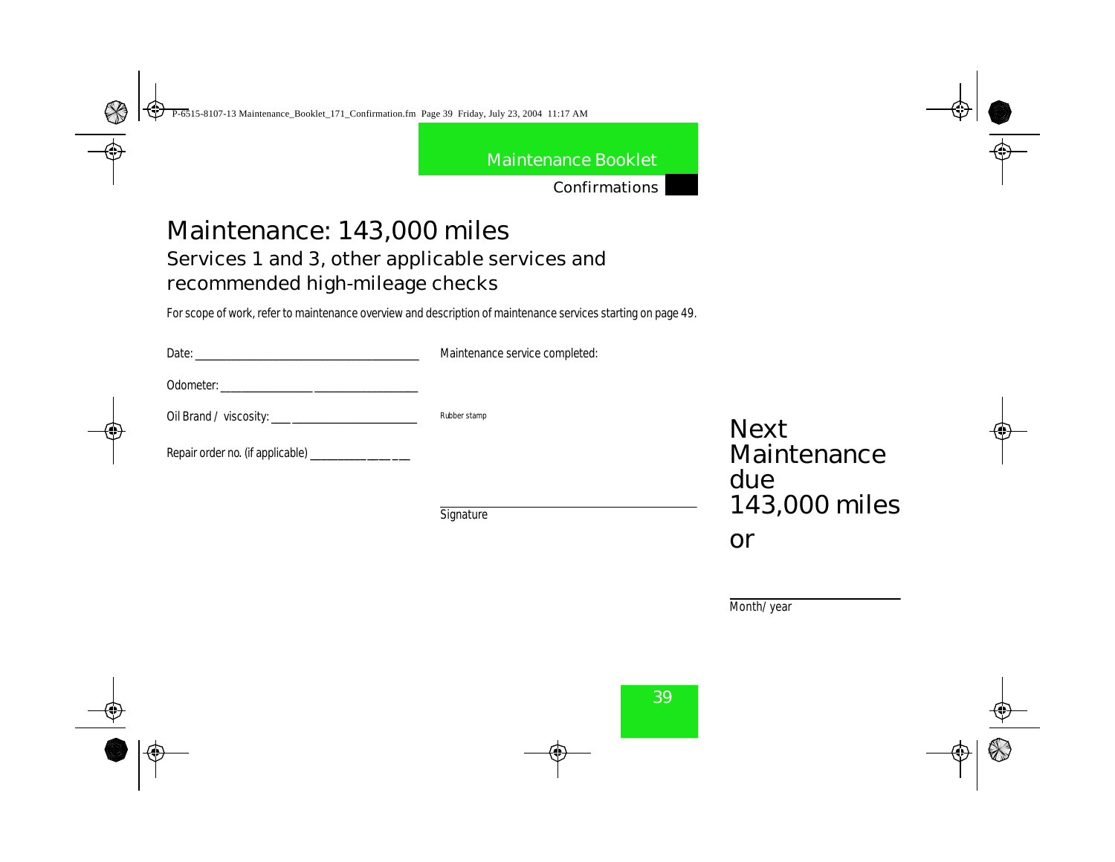Confirmations

# Maintenance: 143,000 miles

## Services 1 and 3, other applicable services and recommended high-mileage checks

For scope of work, refer to maintenance overview and description of maintenance services starting on page 49.

| <b>Date:</b>                                    | Maintenance service completed: |                    |
|-------------------------------------------------|--------------------------------|--------------------|
| <b>Odometer:</b>                                |                                |                    |
|                                                 | <b>Rubber stamp</b>            | <b>Next</b>        |
| Repair order no. (if applicable) ______________ |                                | Maintenance<br>due |
|                                                 | Cinendamn                      | 143,000 miles      |

**Signature** 

Month/year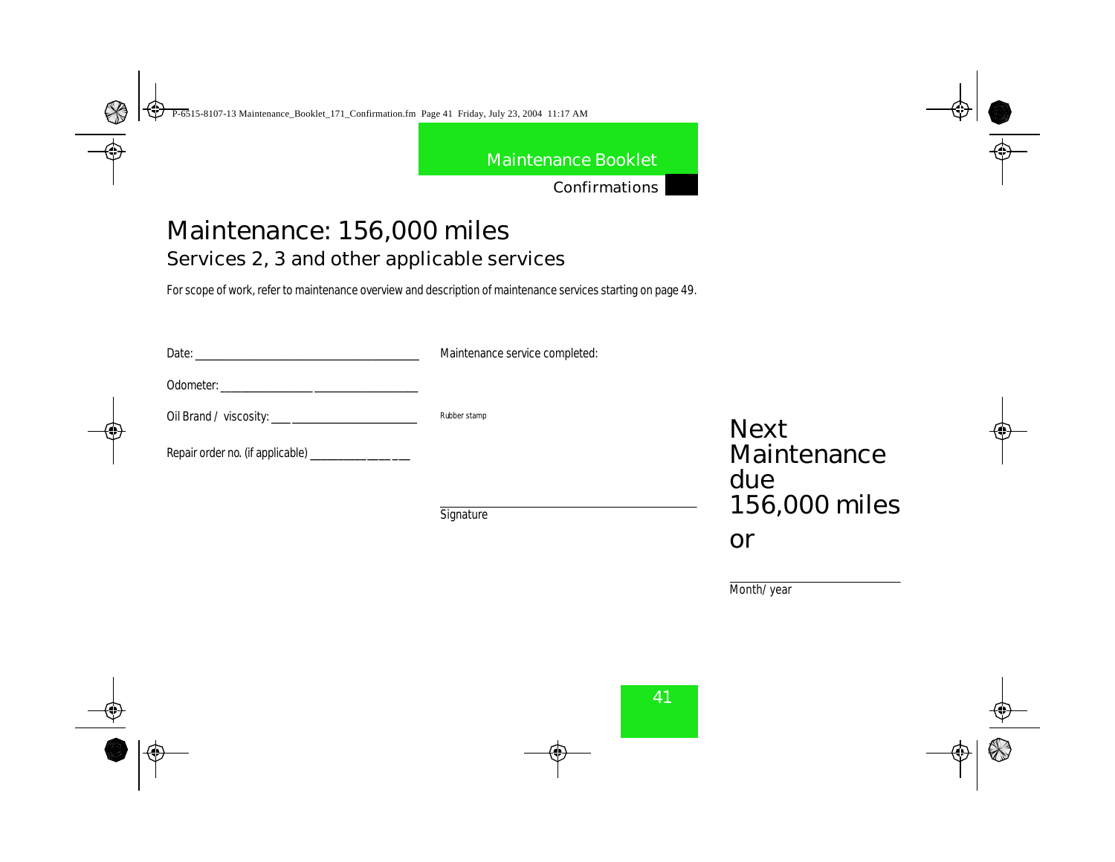Confirmations

# Maintenance: 156,000 miles Services 2, 3 and other applicable services

For scope of work, refer to maintenance overview and description of maintenance services starting on page 49.

| <b>Date:</b>                                   | Maintenance service completed: |                    |
|------------------------------------------------|--------------------------------|--------------------|
|                                                |                                |                    |
|                                                | <b>Rubber stamp</b>            | <b>Next</b>        |
| Repair order no. (if applicable) _____________ |                                | Maintenance<br>due |
|                                                | Cinentum                       | 156,000 miles      |

Signature

Month/year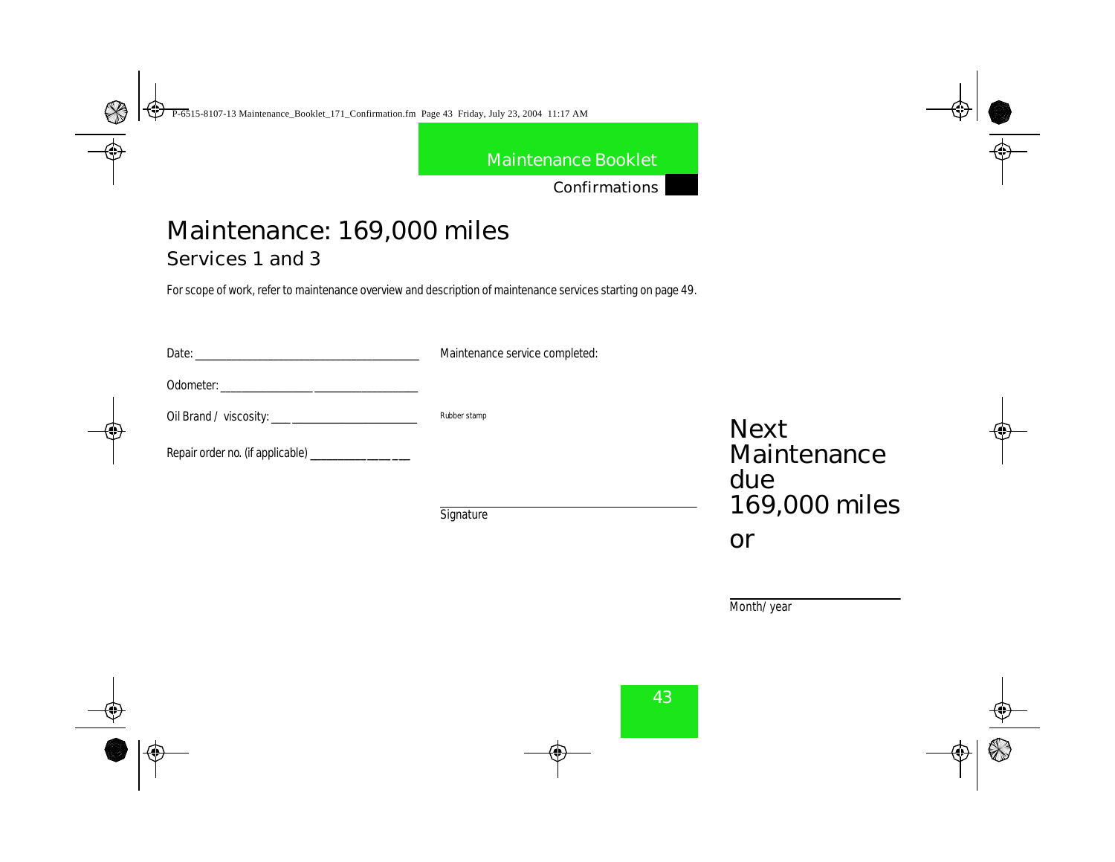Confirmations

# Maintenance: 169,000 miles

Services 1 and 3

For scope of work, refer to maintenance overview and description of maintenance services starting on page 49.

| <b>Date:</b>                                                               | Maintenance service completed: |                    |
|----------------------------------------------------------------------------|--------------------------------|--------------------|
| <b>Odometer:</b><br><u> 1980 - Jan Barbara, martin da kasar Indonesia.</u> |                                |                    |
|                                                                            | <b>Rubber stamp</b>            | <b>Next</b>        |
| Repair order no. (if applicable) ______________                            |                                | Maintenance<br>due |

**Signature** 

169,000 miles or

Month/year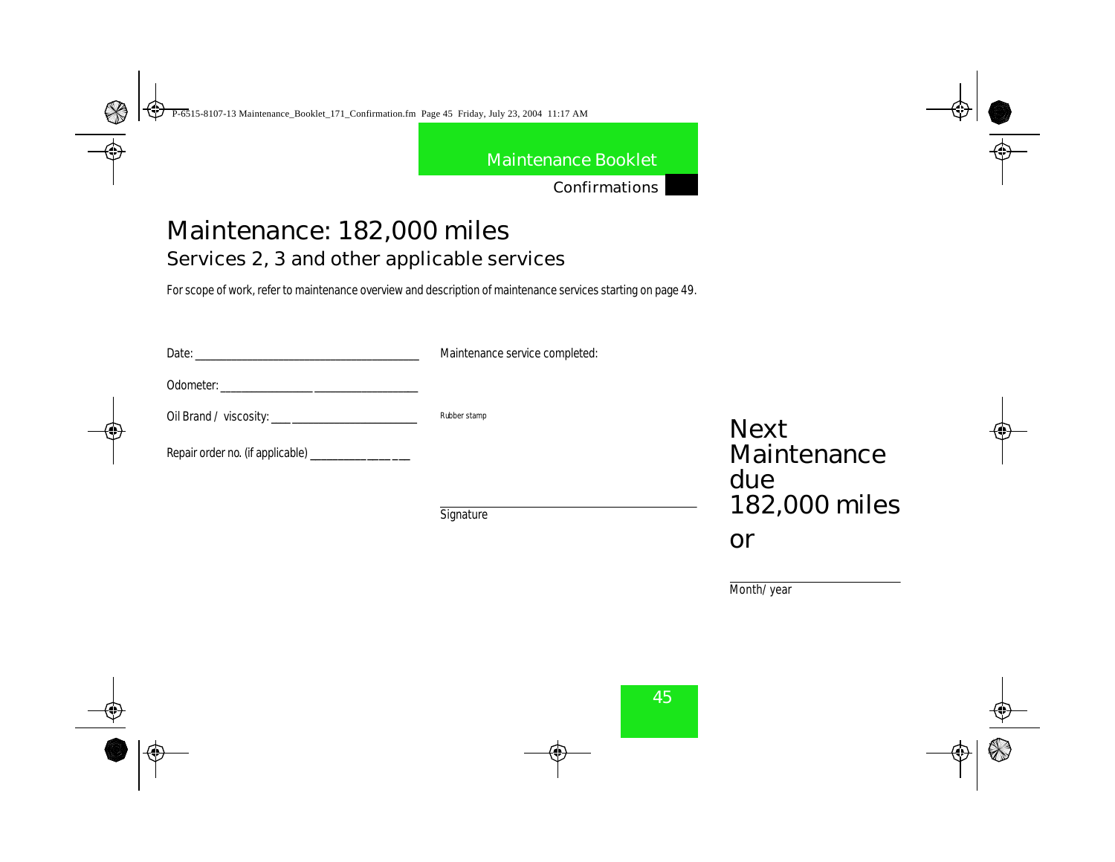Confirmations

# Maintenance: 182,000 miles Services 2, 3 and other applicable services

For scope of work, refer to maintenance overview and description of maintenance services starting on page 49.

| Date: <b>Date</b> and <b>Date</b> and <b>Date</b> and <b>Date</b> and <b>Date</b> and <b>Date</b> and <b>Date</b> and <b>D</b> | Maintenance service completed: |                    |
|--------------------------------------------------------------------------------------------------------------------------------|--------------------------------|--------------------|
| <b>Odometer:</b>                                                                                                               |                                |                    |
|                                                                                                                                | <b>Rubber stamp</b>            | <b>Next</b>        |
| Repair order no. (if applicable) ________________                                                                              |                                | Maintenance<br>due |
|                                                                                                                                | Circuntum                      | 182,000 miles      |

**Signature** 

Month/year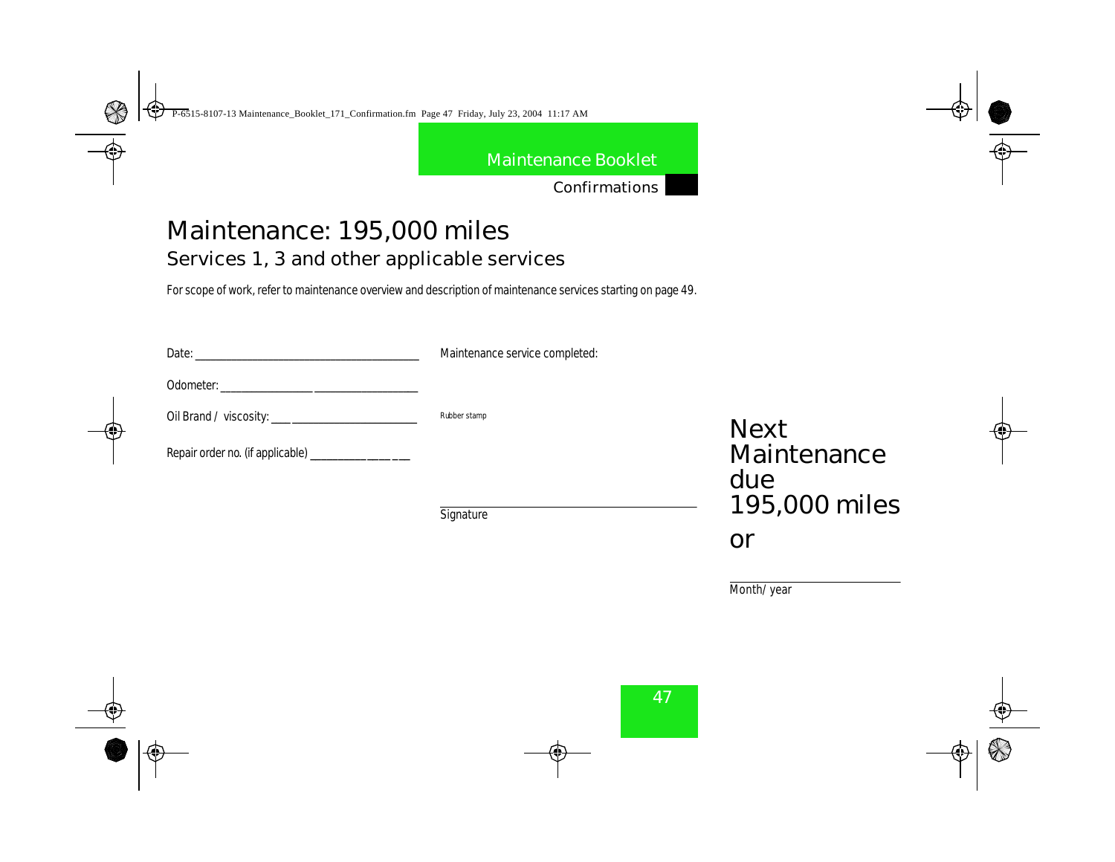Confirmations

# Maintenance: 195,000 miles Services 1, 3 and other applicable services

For scope of work, refer to maintenance overview and description of maintenance services starting on page 49.

| Date:<br>the contract of the contract of the contract of the contract of | Maintenance service completed: |                    |  |  |
|--------------------------------------------------------------------------|--------------------------------|--------------------|--|--|
|                                                                          |                                |                    |  |  |
|                                                                          | <b>Rubber stamp</b>            | <b>Next</b>        |  |  |
| Repair order no. (if applicable) ______________                          |                                | Maintenance<br>due |  |  |
|                                                                          |                                | $195,000$ miles    |  |  |

Signature

195,000 miles or

Month/year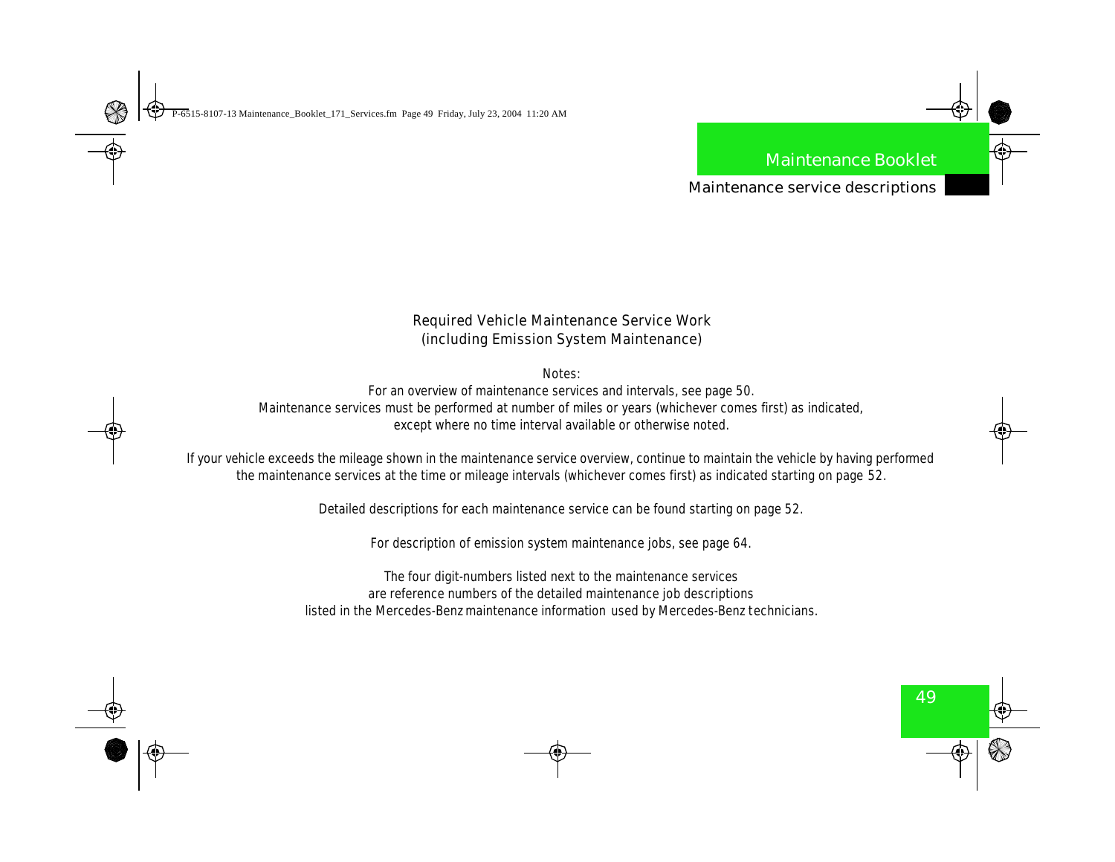Maintenance service descriptions

### **Required Vehicle Maintenance Service Work (including Emission System Maintenance)**

Notes:

For an overview of maintenance services and intervals, see page 50. Maintenance services must be performed at number of miles or years (whichever comes first) as indicated, except where no time interval available or otherwise noted.

If your vehicle exceeds the mileage shown in the maintenance service overview, continue to maintain the vehicle by having performed the maintenance services at the time or mileage intervals (whichever comes first) as indicated starting on page 52.

Detailed descriptions for each maintenance service can be found starting on page 52.

For description of emission system maintenance jobs, see page 64.

The four digit-numbers listed next to the maintenance services are reference numbers of the detailed maintenance job descriptions listed in the Mercedes-Benz maintenance information used by Mercedes-Benz technicians.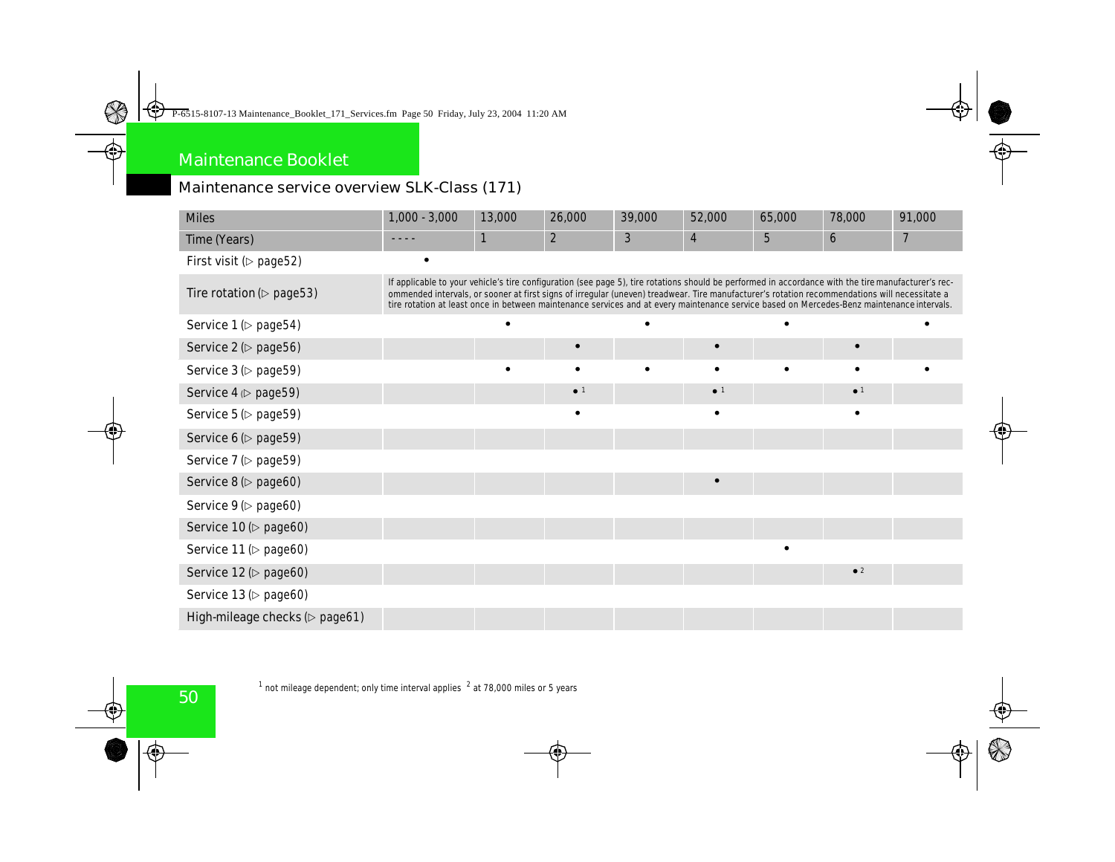## Maintenance service overview SLK-Class (171)

| <b>Miles</b>                                               | $1,000 - 3,000$                                                                                                                                                                                                                                                                                                                                                                                                                                   | 13,000    | 26,000                 | 39,000 | 52,000                  | 65,000          | 78,000                 | 91,000 |
|------------------------------------------------------------|---------------------------------------------------------------------------------------------------------------------------------------------------------------------------------------------------------------------------------------------------------------------------------------------------------------------------------------------------------------------------------------------------------------------------------------------------|-----------|------------------------|--------|-------------------------|-----------------|------------------------|--------|
| <b>Time (Years)</b>                                        |                                                                                                                                                                                                                                                                                                                                                                                                                                                   | 1         | $\boldsymbol{2}$       | 3      | $\overline{\mathbf{4}}$ | $5\phantom{.0}$ | 6                      | 7      |
| First visit ( $\triangleright$ page 52)                    |                                                                                                                                                                                                                                                                                                                                                                                                                                                   |           |                        |        |                         |                 |                        |        |
| <b>Tire rotation (<math>\triangleright</math> page 53)</b> | If applicable to your vehicle's tire configuration (see page 5), tire rotations should be performed in accordance with the tire manufacturer's rec-<br>ommended intervals, or sooner at first signs of irregular (uneven) treadwear. The manufacturer's rotation recommendations will necessitate a<br>tire rotation at least once in between maintenance services and at every maintenance service based on Mercedes Benz maintenance intervals. |           |                        |        |                         |                 |                        |        |
| Service $1$ ( $\triangleright$ page 54)                    |                                                                                                                                                                                                                                                                                                                                                                                                                                                   | $\bullet$ |                        |        |                         |                 |                        |        |
| Service 2 (> page56)                                       |                                                                                                                                                                                                                                                                                                                                                                                                                                                   |           | $\bullet$              |        | $\bullet$               |                 | $\bullet$              |        |
| Service $3$ ( $\triangleright$ page 59)                    |                                                                                                                                                                                                                                                                                                                                                                                                                                                   | $\bullet$ | $\bullet$              |        | $\bullet$               |                 |                        |        |
| Service $4 \triangleright$ page 59)                        |                                                                                                                                                                                                                                                                                                                                                                                                                                                   |           | $\bullet$ <sup>1</sup> |        | $\bullet$ <sup>1</sup>  |                 | $\bullet$ <sup>1</sup> |        |
| Service $5 \, (\triangleright$ page $59)$                  |                                                                                                                                                                                                                                                                                                                                                                                                                                                   |           | $\bullet$              |        | $\bullet$               |                 | $\bullet$              |        |
| Service $6$ ( $\triangleright$ page 59)                    |                                                                                                                                                                                                                                                                                                                                                                                                                                                   |           |                        |        |                         |                 |                        |        |
| Service $7$ ( $\triangleright$ page 59)                    |                                                                                                                                                                                                                                                                                                                                                                                                                                                   |           |                        |        |                         |                 |                        |        |
| Service $8(\triangleright$ page60)                         |                                                                                                                                                                                                                                                                                                                                                                                                                                                   |           |                        |        | $\bullet$               |                 |                        |        |
| Service $9$ ( $\triangleright$ page60)                     |                                                                                                                                                                                                                                                                                                                                                                                                                                                   |           |                        |        |                         |                 |                        |        |
| Service $10($ page 60)                                     |                                                                                                                                                                                                                                                                                                                                                                                                                                                   |           |                        |        |                         |                 |                        |        |
| Service $11$ ( $\triangleright$ page60)                    |                                                                                                                                                                                                                                                                                                                                                                                                                                                   |           |                        |        |                         |                 |                        |        |
| Service $12 (p$ page 60)                                   |                                                                                                                                                                                                                                                                                                                                                                                                                                                   |           |                        |        |                         |                 | $^{\bullet}$ 2         |        |
| Service $13$ ( $\triangleright$ page60)                    |                                                                                                                                                                                                                                                                                                                                                                                                                                                   |           |                        |        |                         |                 |                        |        |
| High mileage checks (> page61)                             |                                                                                                                                                                                                                                                                                                                                                                                                                                                   |           |                        |        |                         |                 |                        |        |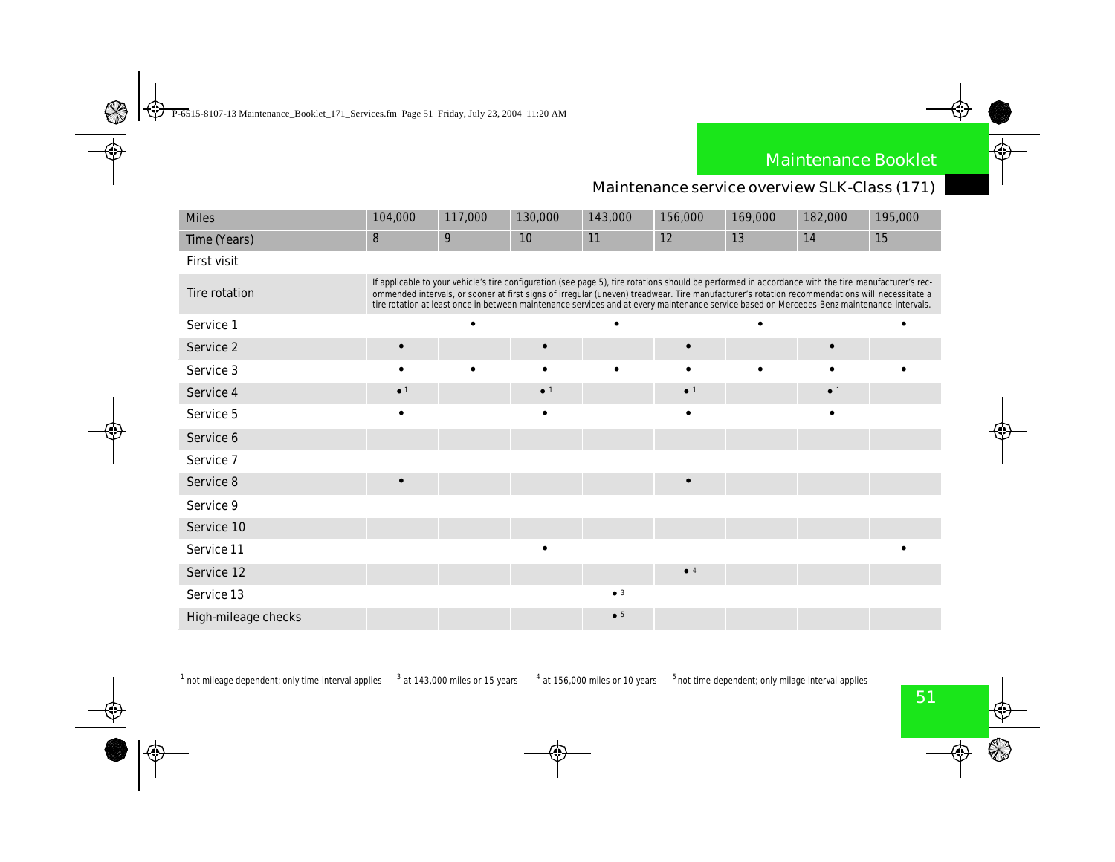### Maintenance service overview SLK-Class (171)

| <b>Miles</b>               | 104,000                                                                                                                                                                                                                                                                                                                                                                                                                                           | 117,000          | 130,000                | 143,000     | 156,000                | 169,000 | 182,000                | 195,000 |
|----------------------------|---------------------------------------------------------------------------------------------------------------------------------------------------------------------------------------------------------------------------------------------------------------------------------------------------------------------------------------------------------------------------------------------------------------------------------------------------|------------------|------------------------|-------------|------------------------|---------|------------------------|---------|
| <b>Time (Years)</b>        | 8                                                                                                                                                                                                                                                                                                                                                                                                                                                 | $\boldsymbol{9}$ | 10                     | 11          | 12                     | 13      | 14                     | 15      |
| <b>First visit</b>         |                                                                                                                                                                                                                                                                                                                                                                                                                                                   |                  |                        |             |                        |         |                        |         |
| <b>Tire rotation</b>       | If applicable to your vehicle's tire configuration (see page 5), tire rotations should be performed in accordance with the tire manufacturer's rec-<br>ommended intervals, or sooner at first signs of irregular (uneven) treadwear. The manufacturer's rotation recommendations will necessitate a<br>tire rotation at least once in between maintenance services and at every maintenance service based on Mercedes-Benz maintenance intervals. |                  |                        |             |                        |         |                        |         |
| <b>Service 1</b>           |                                                                                                                                                                                                                                                                                                                                                                                                                                                   |                  |                        |             |                        |         |                        |         |
| <b>Service 2</b>           |                                                                                                                                                                                                                                                                                                                                                                                                                                                   |                  |                        |             |                        |         |                        |         |
| <b>Service 3</b>           |                                                                                                                                                                                                                                                                                                                                                                                                                                                   | ٠                |                        |             | ٠                      |         | ٠                      |         |
| <b>Service 4</b>           | $\bullet$ <sup>1</sup>                                                                                                                                                                                                                                                                                                                                                                                                                            |                  | $\bullet$ <sup>1</sup> |             | $\bullet$ <sup>1</sup> |         | $\bullet$ <sup>1</sup> |         |
| <b>Service 5</b>           | ٠                                                                                                                                                                                                                                                                                                                                                                                                                                                 |                  | ٠                      |             | $\bullet$              |         | $\bullet$              |         |
| <b>Service 6</b>           |                                                                                                                                                                                                                                                                                                                                                                                                                                                   |                  |                        |             |                        |         |                        |         |
| <b>Service 7</b>           |                                                                                                                                                                                                                                                                                                                                                                                                                                                   |                  |                        |             |                        |         |                        |         |
| <b>Service 8</b>           |                                                                                                                                                                                                                                                                                                                                                                                                                                                   |                  |                        |             | $\bullet$              |         |                        |         |
| <b>Service 9</b>           |                                                                                                                                                                                                                                                                                                                                                                                                                                                   |                  |                        |             |                        |         |                        |         |
| <b>Service 10</b>          |                                                                                                                                                                                                                                                                                                                                                                                                                                                   |                  |                        |             |                        |         |                        |         |
| <b>Service 11</b>          |                                                                                                                                                                                                                                                                                                                                                                                                                                                   |                  | $\bullet$              |             |                        |         |                        |         |
| <b>Service 12</b>          |                                                                                                                                                                                                                                                                                                                                                                                                                                                   |                  |                        |             | • 4                    |         |                        |         |
| <b>Service 13</b>          |                                                                                                                                                                                                                                                                                                                                                                                                                                                   |                  |                        | $\bullet$ 3 |                        |         |                        |         |
| <b>High-mileage checks</b> |                                                                                                                                                                                                                                                                                                                                                                                                                                                   |                  |                        | $\bullet$ 5 |                        |         |                        |         |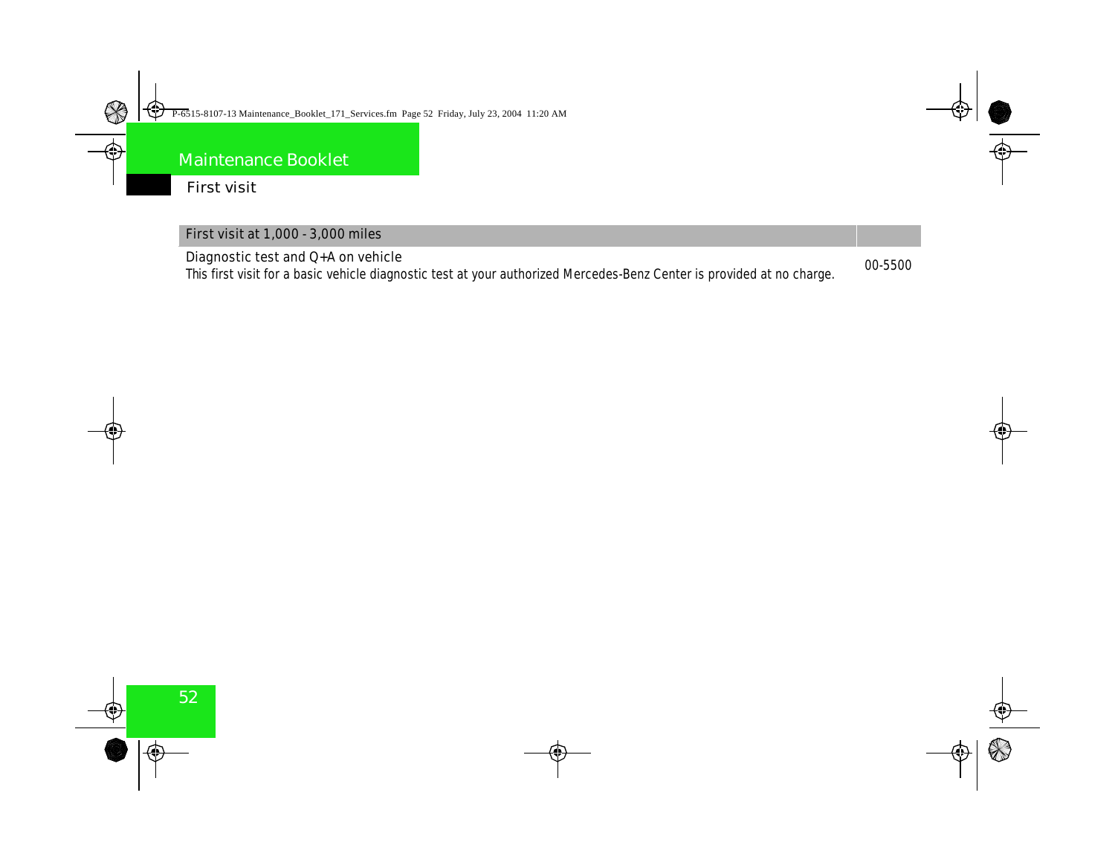### First visit

| <b>First visit at 1,000 - 3,000 miles</b>                                                                              |  |
|------------------------------------------------------------------------------------------------------------------------|--|
| Diagnostic test and $Q+A$ on vehicle                                                                                   |  |
| This first visit for a basic vehicle diagnostic test at your authorized Mercedes-Benz Center is provided at no charge. |  |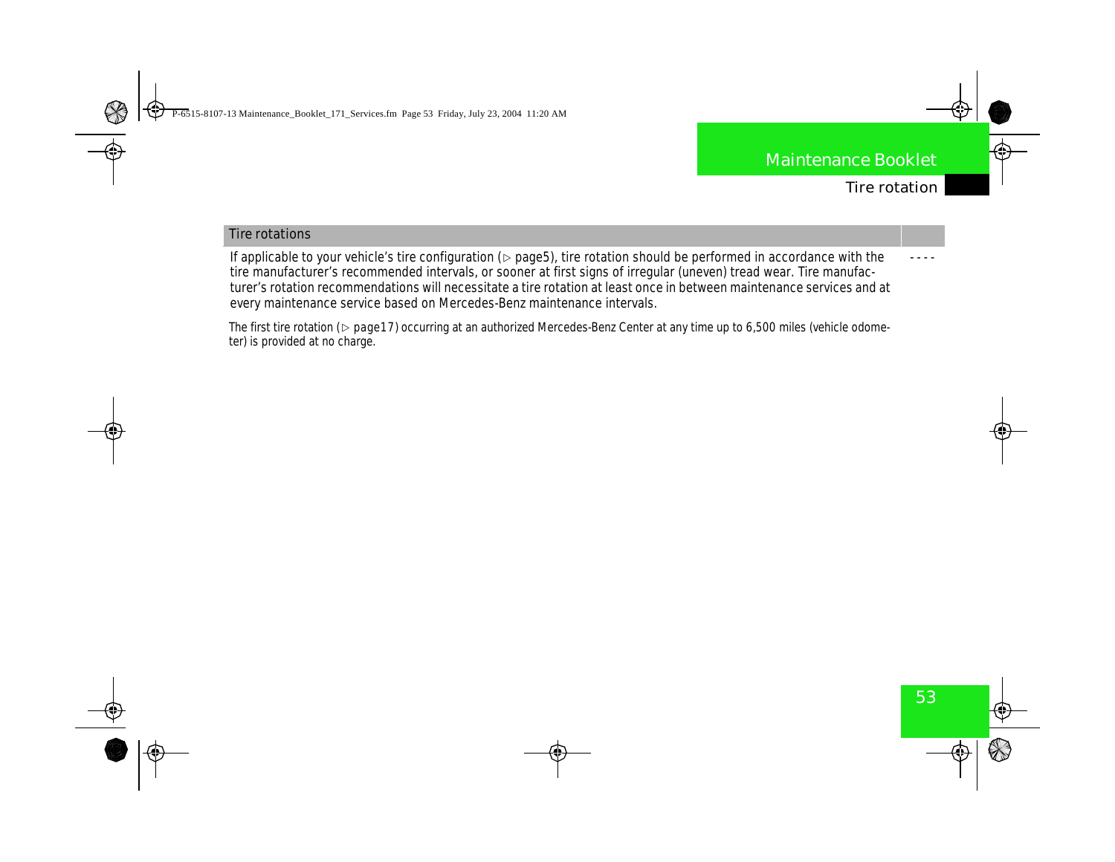- - - -

#### **Tire rotations**

If applicable to your vehicle's tire configuration ( $\triangleright$  page5), tire rotation should be performed in accordance with the tire manufacturer's recommended intervals, or sooner at first signs of irregular (uneven) tread wear. Tire manufacturer's rotation recommendations will necessitate a tire rotation at least once in between maintenance services and at every maintenance service based on Mercedes-Benz maintenance intervals.

The first tire rotation ( $\triangleright$  page17) occurring at an authorized Mercedes-Benz Center at any time up to 6,500 miles (vehicle odometer) is provided at no charge.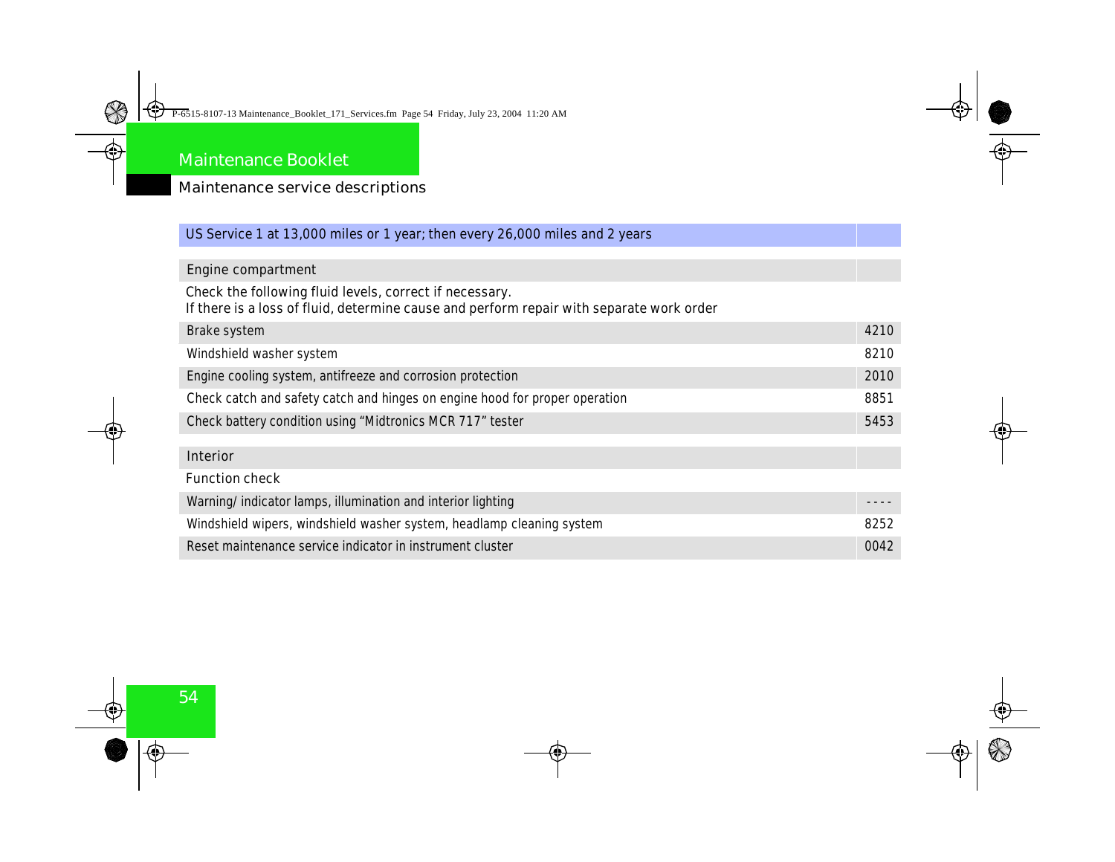| US Service 1 at 13,000 miles or 1 year; then every 26,000 miles and 2 years              |      |
|------------------------------------------------------------------------------------------|------|
|                                                                                          |      |
| <b>Engine compartment</b>                                                                |      |
| Check the following fluid levels, correct if necessary.                                  |      |
| If there is a loss of fluid, determine cause and perform repair with separate work order |      |
| <b>Brake system</b>                                                                      | 4210 |
| <b>Windshield washer system</b>                                                          | 8210 |
| Engine cooling system, antifreeze and corrosion protection                               | 2010 |
| Check catch and safety catch and hinges on engine hood for proper operation              | 8851 |
| <b>Check battery condition using "Midtronics MCR 717" tester</b>                         | 5453 |
|                                                                                          |      |
| <b>Interior</b>                                                                          |      |
| <b>Function check</b>                                                                    |      |
| Warning/indicator lamps, illumination and interior lighting                              |      |
| Windshield wipers, windshield washer system, headlamp cleaning system                    | 8252 |
| Reset maintenance service indicator in instrument cluster                                | 0042 |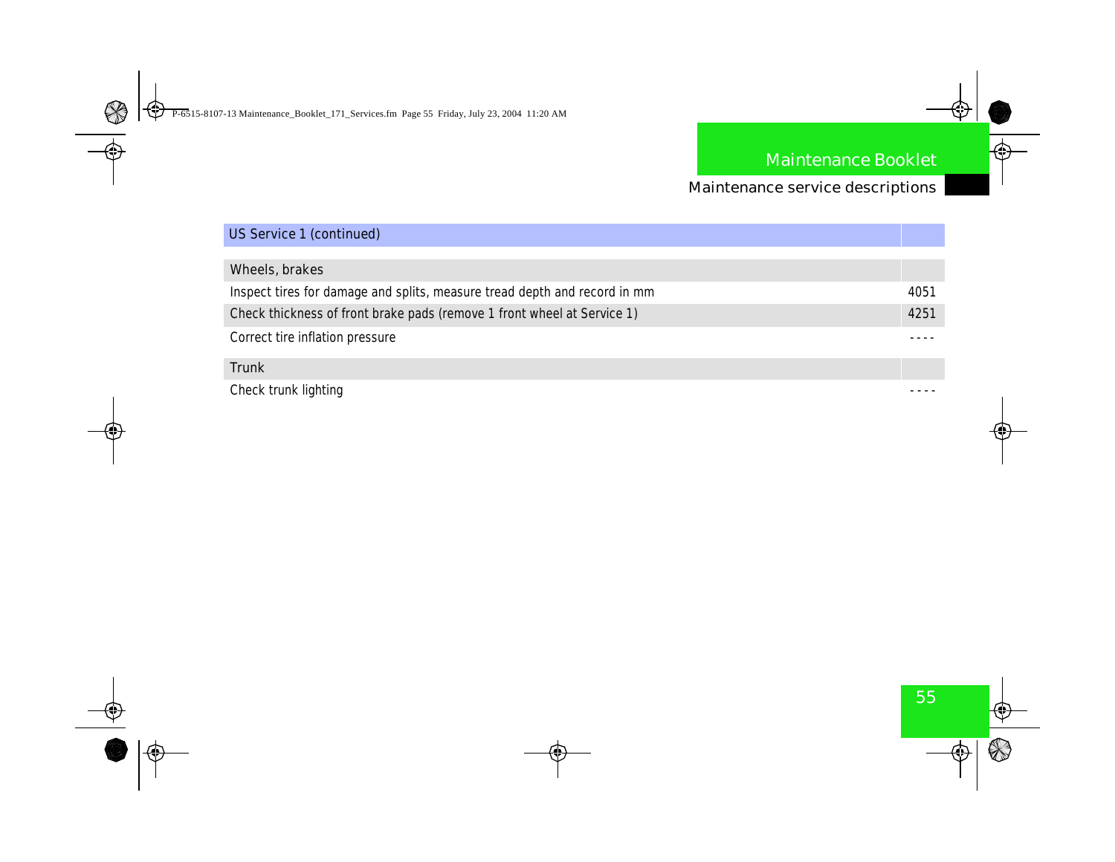| <b>US Service 1 (continued)</b>                                            |      |
|----------------------------------------------------------------------------|------|
|                                                                            |      |
| <b>Wheels, brakes</b>                                                      |      |
| Inspect tires for damage and splits, measure tread depth and record in num | 4051 |
| Check thickness of front brake pads (remove 1 front wheel at Service 1)    | 4251 |
| <b>Correct tire inflation pressure</b>                                     |      |
| <b>Trunk</b>                                                               |      |
| <b>Check trunk lighting</b>                                                |      |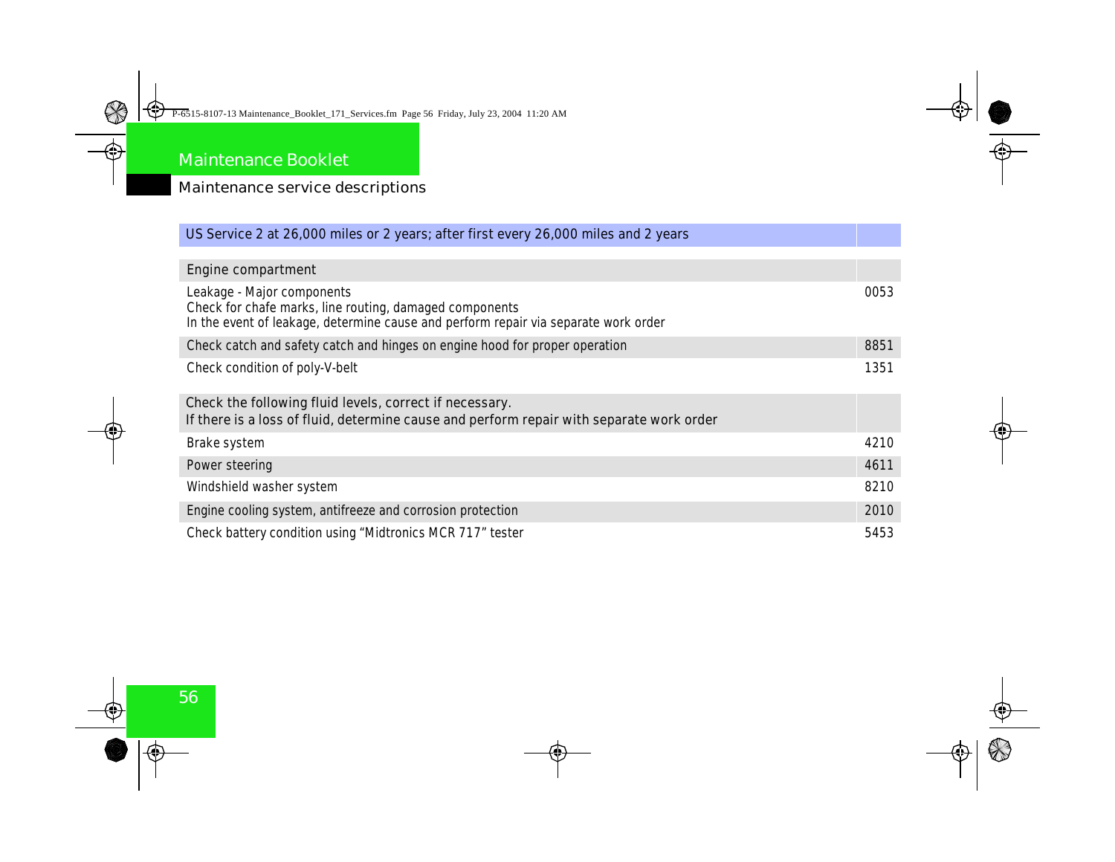| US Service 2 at 26,000 miles or 2 years; after first every 26,000 miles and 2 years                                                                                          |      |
|------------------------------------------------------------------------------------------------------------------------------------------------------------------------------|------|
|                                                                                                                                                                              |      |
| <b>Engine compartment</b>                                                                                                                                                    |      |
| Leakage - Major components<br>Check for chafe marks, line routing, damaged components<br>In the event of leakage, determine cause and perform repair via separate work order | 0053 |
| Check catch and safety catch and hinges on engine hood for proper operation                                                                                                  | 8851 |
| <b>Check condition of poly-V-belt</b>                                                                                                                                        | 1351 |
| Check the following fluid levels, correct if necessary.<br>If there is a loss of fluid, determine cause and perform repair with separate work order                          |      |
| <b>Brake system</b>                                                                                                                                                          | 4210 |
| <b>Power steering</b>                                                                                                                                                        | 4611 |
| Windshield washer system                                                                                                                                                     | 8210 |
| Engine cooling system, antifreeze and corrosion protection                                                                                                                   | 2010 |
| <b>Check battery condition using "Midtronics MCR 717" tester</b>                                                                                                             | 5453 |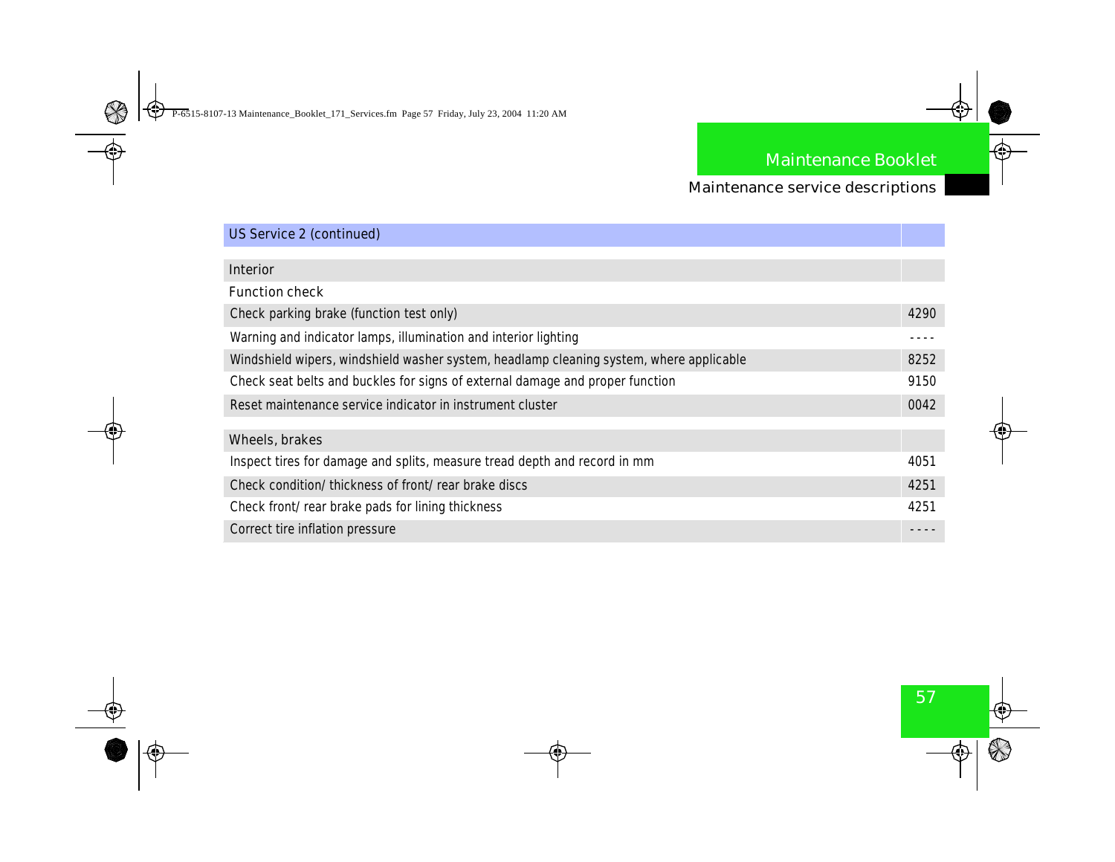| <b>US Service 2 (continued)</b>                                                         |            |
|-----------------------------------------------------------------------------------------|------------|
|                                                                                         |            |
| <b>Interior</b>                                                                         |            |
| <b>Function check</b>                                                                   |            |
| <b>Check parking brake (function test only)</b>                                         | 4290       |
| Warning and indicator lamps, illumination and interior lighting                         |            |
| Windshield wipers, windshield washer system, headlamp cleaning system, where applicable | 8252       |
| Check seat belts and buckles for signs of external damage and proper function           | 9150       |
| Reset maintenance service indicator in instrument cluster                               | <b>MA2</b> |
|                                                                                         |            |
| <b>Wheels, brakes</b>                                                                   |            |
| Inspect tires for damage and splits, measure tread depth and record in num              | 4051       |
| <b>Check condition/thickness of front/rear brake discs</b>                              | 4251       |
| <b>Check front/rear brake pads for lining thickness</b>                                 | 4251       |
| <b>Correct tire inflation pressure</b>                                                  |            |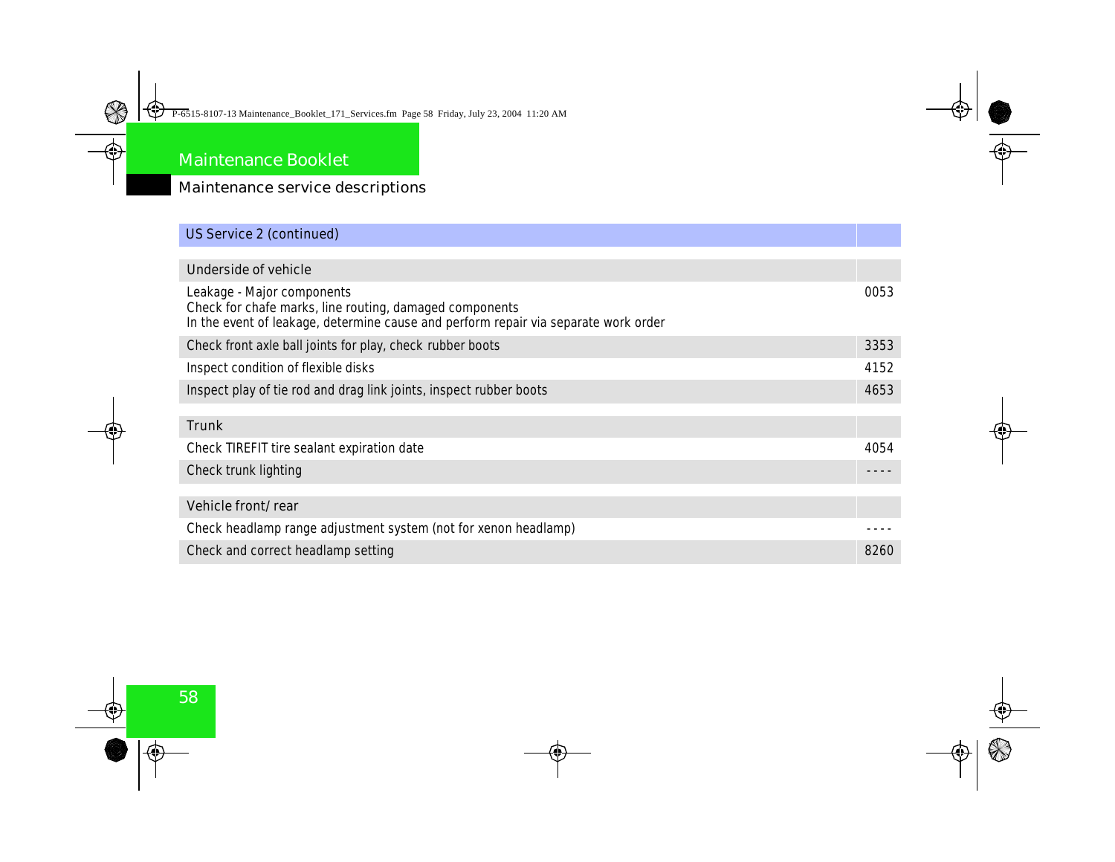#### Maintenance service descriptions

## **US Service 2 (continued) Underside of vehicle** Leakage - Major components Check for chafe marks, line routing, damaged components In the event of leakage, determine cause and perform repair via separate work order 0053 Check front axle ball joints for play, check rubber boots 3353 Inspect condition of flexible disks 4152 Inspect play of tie rod and drag link joints, inspect rubber boots 4653 **Trunk** Check TIREFIT tire sealant expiration date 4054 Check trunk lighting - - - - **Vehicle front/rear** Check headlamp range adjustment system (not for xenon headlamp) Check and correct headlamp setting and correct setting and correct setting  $8260$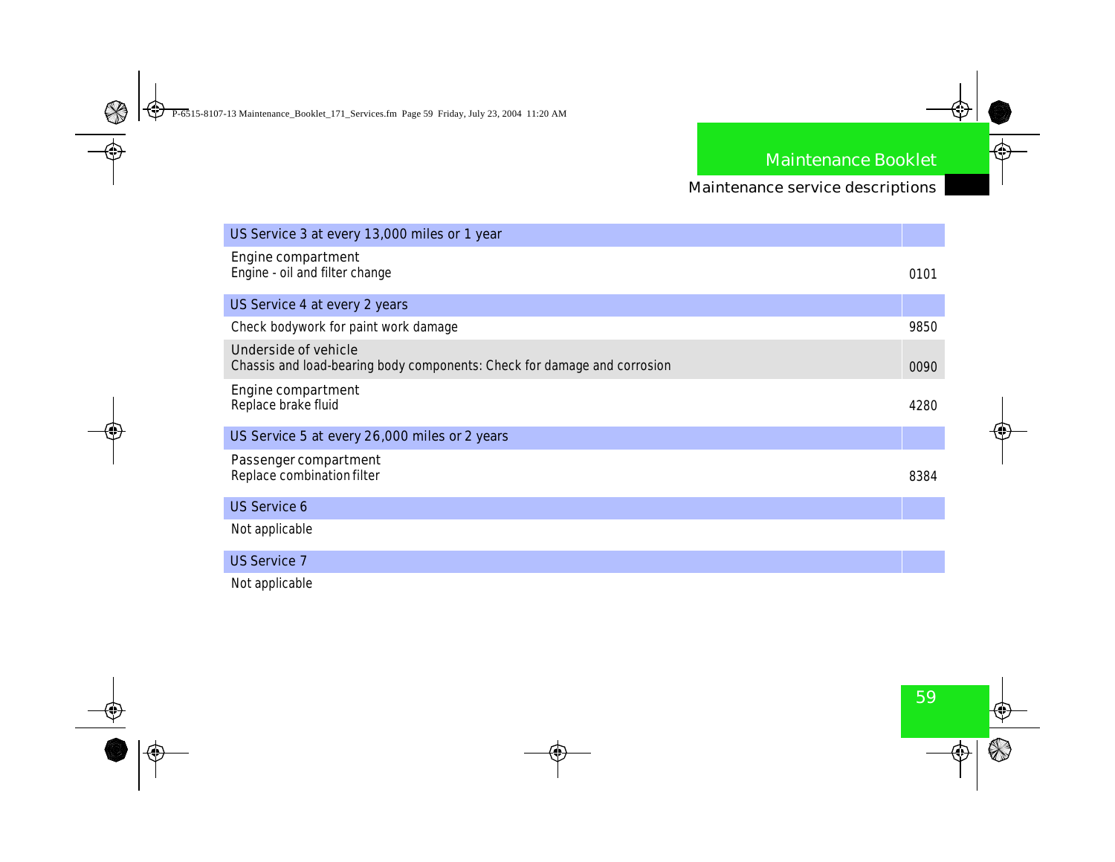| US Service 3 at every 13,000 miles or 1 year                                                     |      |
|--------------------------------------------------------------------------------------------------|------|
| <b>Engine compartment</b><br><b>Engine - oil and filter change</b>                               | 0101 |
| <b>US Service 4 at every 2 years</b>                                                             |      |
| <b>Check bodywork for paint work damage</b>                                                      | 9850 |
| Underside of vehicle<br>Chassis and load-bearing body components: Check for damage and corrosion | 0090 |
| <b>Engine compartment</b><br><b>Replace brake fluid</b>                                          | 4280 |
| US Service 5 at every 26,000 miles or 2 years                                                    |      |
| <b>Passenger compartment</b><br><b>Replace combination filter</b>                                | 8384 |
| <b>US Service 6</b>                                                                              |      |
| Not applicable                                                                                   |      |
| <b>US Service 7</b>                                                                              |      |
| Not applicable                                                                                   |      |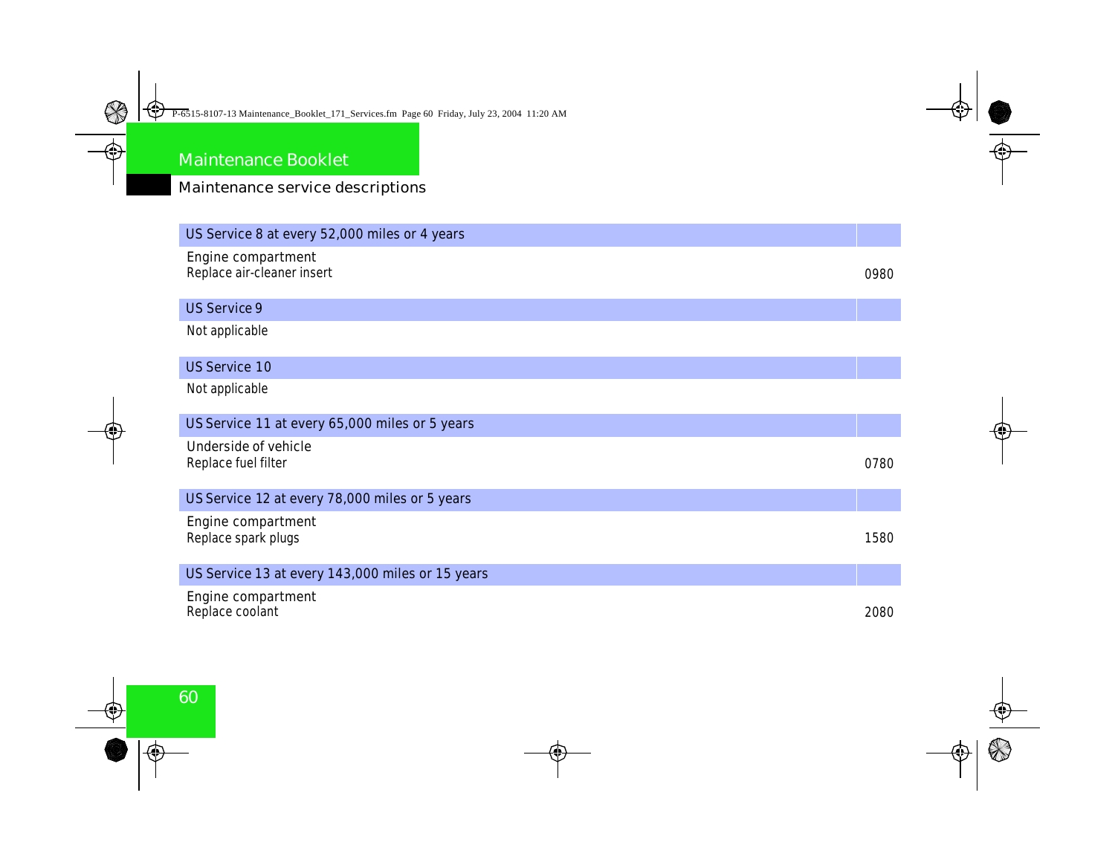| US Service 8 at every 52,000 miles or 4 years             |      |
|-----------------------------------------------------------|------|
| <b>Engine compartment</b><br>Replace air cleaner insert   | 0980 |
| <b>US Service 9</b>                                       |      |
| Not applicable                                            |      |
| <b>US Service 10</b>                                      |      |
| Not applicable                                            |      |
| US Service 11 at every 65,000 miles or 5 years            |      |
| <b>Underside of vehicle</b><br><b>Replace fuel filter</b> | 0780 |
| US Service 12 at every 78,000 miles or 5 years            |      |
| <b>Engine compartment</b><br><b>Replace spark plugs</b>   | 1580 |
| US Service 13 at every 143,000 miles or 15 years          |      |
| <b>Engine compartment</b><br><b>Replace coolant</b>       | 2080 |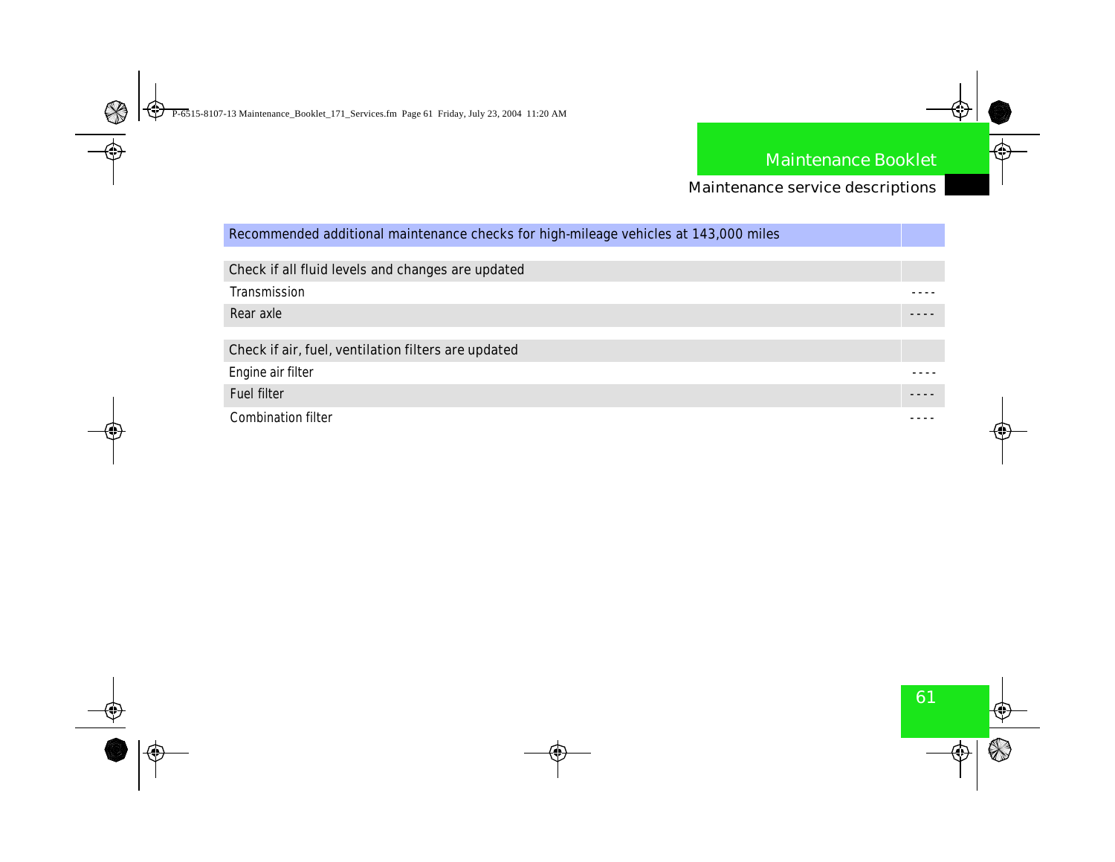### Maintenance service descriptions

### **Recommended additional maintenance checks for high-mileage vehicles at 143,000 miles**

| <b>Check if all fluid levels and changes are updated</b> |  |
|----------------------------------------------------------|--|
| Transmission                                             |  |
| <b>Rear axle</b>                                         |  |
|                                                          |  |
| Check if air, fuel, ventilation filters are updated      |  |
| <b>Engine air filter</b>                                 |  |
| <b>Fuel filter</b>                                       |  |
| <b>Combination filter</b>                                |  |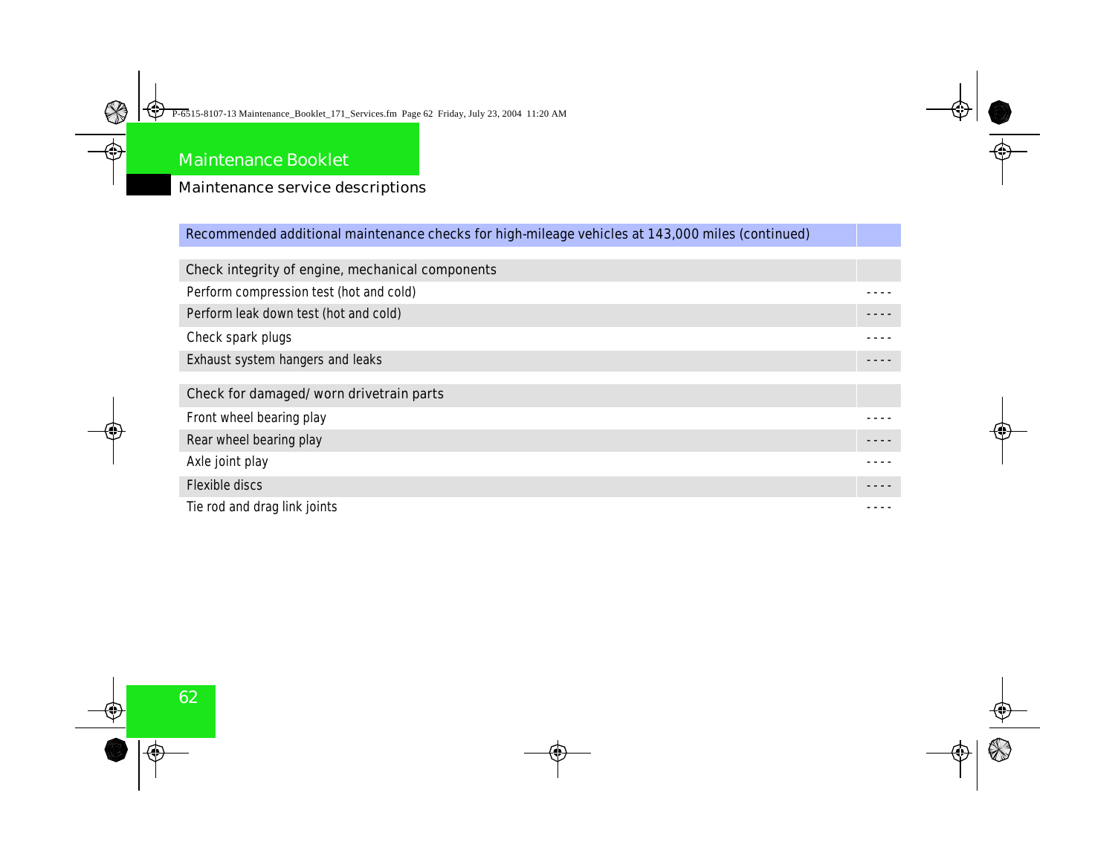### Maintenance service descriptions

### **Recommended additional maintenance checks for high-mileage vehicles at 143,000 miles (continued)**

| <b>Check integrity of engine, mechanical components</b> |  |
|---------------------------------------------------------|--|
| <b>Perform compression test (hot and cold)</b>          |  |
| Perform leak down test (hot and cold)                   |  |
| <b>Check spark plugs</b>                                |  |
| <b>Exhaust system hangers and leaks</b>                 |  |
|                                                         |  |
| Check for damaged/worn drivetrain parts                 |  |
| <b>Front wheel bearing play</b>                         |  |
| <b>Rear wheel bearing play</b>                          |  |
| Axle joint play                                         |  |
| <b>Flexible discs</b>                                   |  |
| Tie rod and drag link joints                            |  |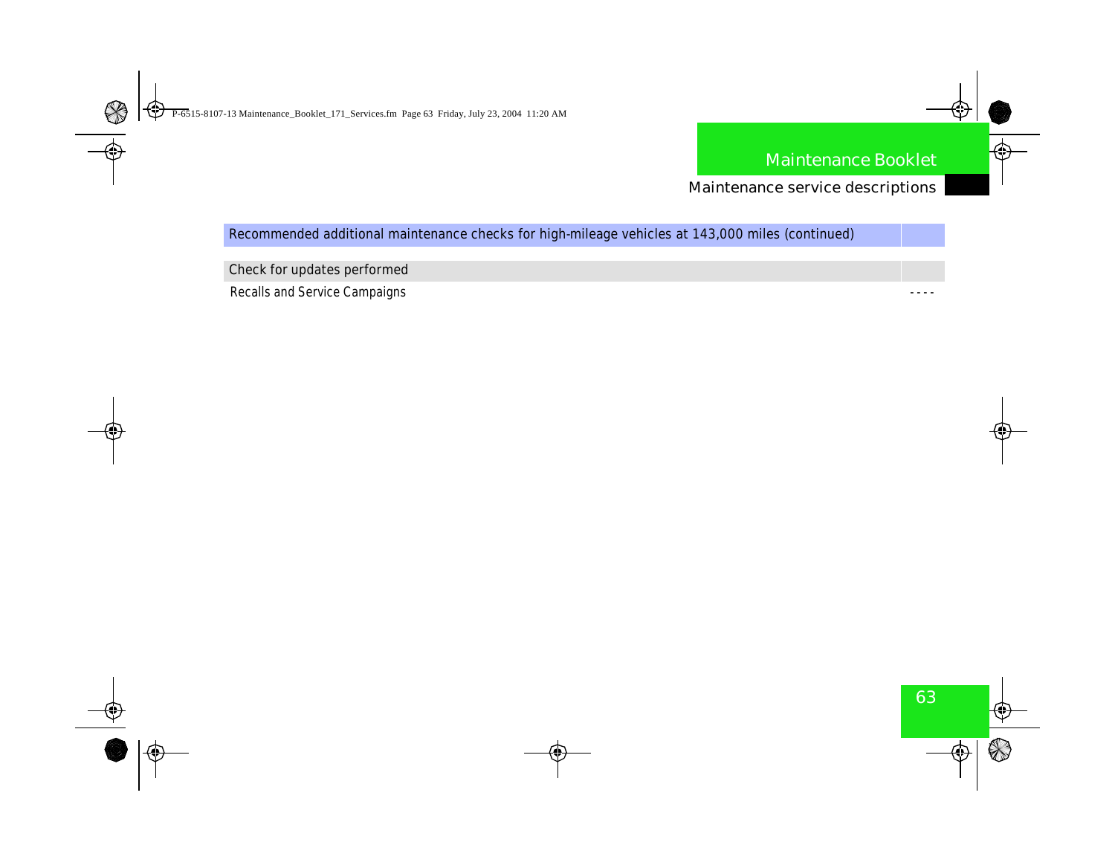Maintenance service descriptions

**Recommended additional maintenance checks for high-mileage vehicles at 143,000 miles (continued)**

**Check for updates performed**

**Recalls and Service Campaigns**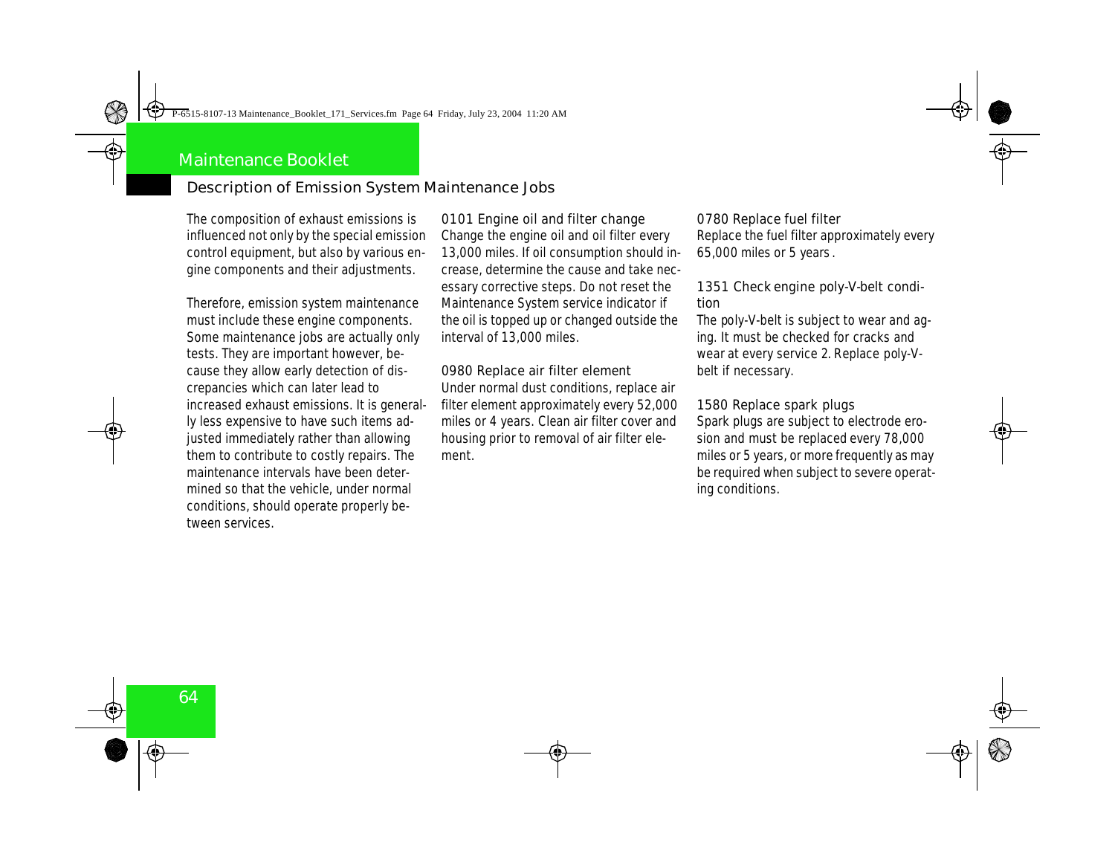### Description of Emission System Maintenance Jobs

The composition of exhaust emissions is influenced not only by the special emission control equipment, but also by various engine components and their adjustments.

Therefore, emission system maintenance must include these engine components. Some maintenance jobs are actually only tests. They are important however, because they allow early detection of discrepancies which can later lead to increased exhaust emissions. It is generally less expensive to have such items adjusted immediately rather than allowing them to contribute to costly repairs. The maintenance intervals have been determined so that the vehicle, under normal conditions, should operate properly between services.

**0101 Engine oil and filter change** Change the engine oil and oil filter every 13,000 miles. If oil consumption should increase, determine the cause and take necessary corrective steps. Do not reset the Maintenance System service indicator if the oil is topped up or changed outside the interval of 13,000 miles.

**0980 Replace air filter element** Under normal dust conditions, replace air filter element approximately every 52,000 miles or 4 years. Clean air filter cover and housing prior to removal of air filter element.

**0780 Replace fuel filter**  Replace the fuel filter approximately every 65,000 miles or 5 years .

**1351 Check engine poly-V-belt condition**

The poly-V-belt is subject to wear and aging. It must be checked for cracks and wear at every service 2. Replace poly-Vbelt if necessary.

**1580 Replace spark plugs** Spark plugs are subject to electrode erosion and must be replaced every 78,000 miles or 5 years, or more frequently as may be required when subject to severe operating conditions.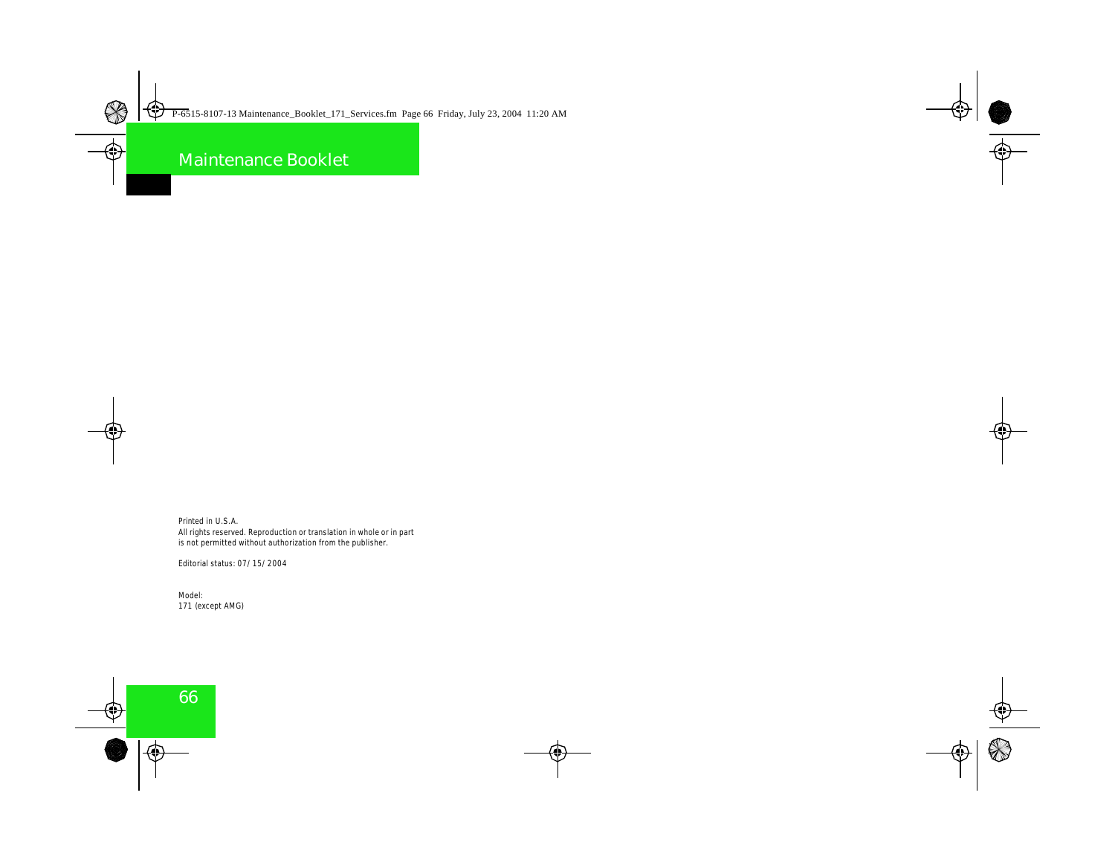Printed in U.S.A. All rights reserved. Reproduction or translation in whole or in part is not permitted without authorization from the publisher.

Editorial status: 07/15/2004

Model: 171 (except AMG)